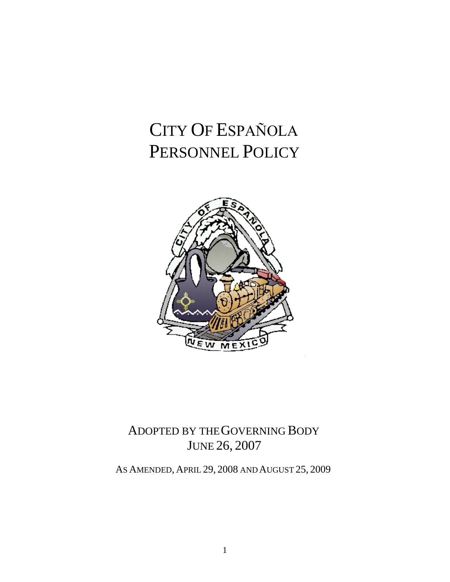# CITY OF ESPAÑOLA PERSONNEL POLICY



# ADOPTED BY THE GOVERNING BODY JUNE 26, 2007

AS AMENDED, APRIL 29, 2008 AND AUGUST 25, 2009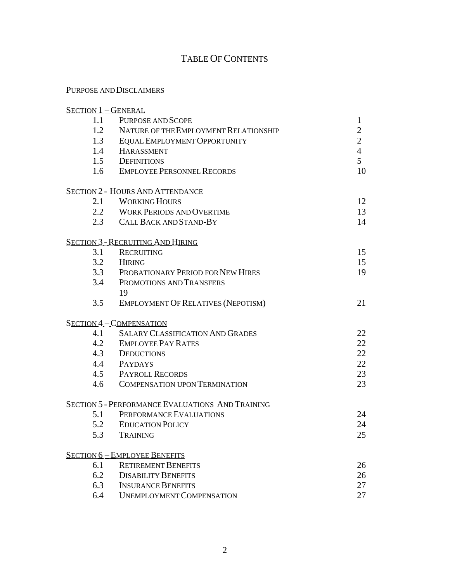# TABLE OF CONTENTS

# PURPOSE AND DISCLAIMERS

| <b>SECTION 1-GENERAL</b> |                                                         |                |
|--------------------------|---------------------------------------------------------|----------------|
| 1.1                      | PURPOSE AND SCOPE                                       | 1              |
| 1.2                      | NATURE OF THE EMPLOYMENT RELATIONSHIP                   | $\overline{c}$ |
| 1.3                      | <b>EQUAL EMPLOYMENT OPPORTUNITY</b>                     | $\overline{2}$ |
| 1.4                      | <b>HARASSMENT</b>                                       | $\overline{4}$ |
|                          | 1.5 DEFINITIONS                                         | 5              |
|                          | 1.6 EMPLOYEE PERSONNEL RECORDS                          | 10             |
|                          | <b>SECTION 2 - HOURS AND ATTENDANCE</b>                 |                |
| 2.1                      | <b>WORKING HOURS</b>                                    | 12             |
|                          | 2.2 WORK PERIODS AND OVERTIME                           | 13             |
|                          | 2.3 CALL BACK AND STAND-BY                              | 14             |
|                          | <b>SECTION 3 - RECRUITING AND HIRING</b>                |                |
| 3.1                      | <b>RECRUITING</b>                                       | 15             |
| 3.2                      | <b>HIRING</b>                                           | 15             |
| 3.3                      | PROBATIONARY PERIOD FOR NEW HIRES                       | 19             |
| 3.4                      | PROMOTIONS AND TRANSFERS                                |                |
|                          | 19                                                      |                |
| 3.5                      | <b>EMPLOYMENT OF RELATIVES (NEPOTISM)</b>               | 21             |
|                          | <b>SECTION 4-COMPENSATION</b>                           |                |
| 4.1                      | <b>SALARY CLASSIFICATION AND GRADES</b>                 | 22             |
| 4.2                      | <b>EMPLOYEE PAY RATES</b>                               | 22             |
|                          | 4.3 DEDUCTIONS                                          | 22             |
|                          | 4.4 PAYDAYS                                             | 22             |
|                          | <b>4.5 PAYROLL RECORDS</b>                              | 23             |
| 4.6                      | <b>COMPENSATION UPON TERMINATION</b>                    | 23             |
|                          | <b>SECTION 5 - PERFORMANCE EVALUATIONS AND TRAINING</b> |                |
| 5.1                      | PERFORMANCE EVALUATIONS                                 | 24             |
| 5.2                      | <b>EDUCATION POLICY</b>                                 | 24             |
| 5.3                      | <b>TRAINING</b>                                         | 25             |
|                          | <b>SECTION 6-EMPLOYEE BENEFITS</b>                      |                |
| 6.1                      | <b>RETIREMENT BENEFITS</b>                              | 26             |
| 6.2                      | <b>DISABILITY BENEFITS</b>                              | 26             |
| 6.3                      | <b>INSURANCE BENEFITS</b>                               | 27             |
| 6.4                      | <b>UNEMPLOYMENT COMPENSATION</b>                        | 27             |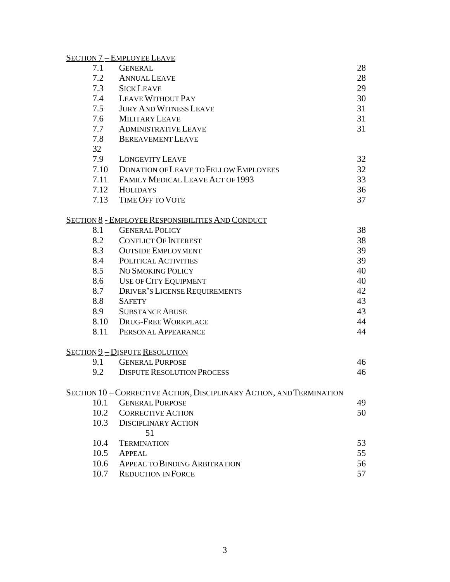# S[ECTION](#page-33-0) 7 – EMPLOY[EE](#page-33-0) L[EAVE](#page-33-0)

| 7.1  | <b>GENERAL</b>                                                       | 28 |
|------|----------------------------------------------------------------------|----|
| 7.2  | <b>ANNUAL LEAVE</b>                                                  | 28 |
| 7.3  | <b>SICK LEAVE</b>                                                    | 29 |
| 7.4  | LEAVE WITHOUT PAY                                                    | 30 |
| 7.5  | <b>JURY AND WITNESS LEAVE</b>                                        | 31 |
| 7.6  | <b>MILITARY LEAVE</b>                                                | 31 |
| 7.7  | <b>ADMINISTRATIVE LEAVE</b>                                          | 31 |
| 7.8  | <b>BEREAVEMENT LEAVE</b>                                             |    |
| 32   |                                                                      |    |
| 7.9  | <b>LONGEVITY LEAVE</b>                                               | 32 |
| 7.10 | DONATION OF LEAVE TO FELLOW EMPLOYEES                                | 32 |
| 7.11 | FAMILY MEDICAL LEAVE ACT OF 1993                                     | 33 |
| 7.12 | <b>HOLIDAYS</b>                                                      | 36 |
| 7.13 | <b>TIME OFF TO VOTE</b>                                              | 37 |
|      | <u>SECTION 8 - EMPLOYEE RESPONSIBILITIES AND CONDUCT</u>             |    |
| 8.1  | <b>GENERAL POLICY</b>                                                | 38 |
| 8.2  | <b>CONFLICT OF INTEREST</b>                                          | 38 |
| 8.3  | <b>OUTSIDE EMPLOYMENT</b>                                            | 39 |
| 8.4  | POLITICAL ACTIVITIES                                                 | 39 |
| 8.5  | NO SMOKING POLICY                                                    | 40 |
| 8.6  | USE OF CITY EQUIPMENT                                                | 40 |
| 8.7  | <b>DRIVER'S LICENSE REQUIREMENTS</b>                                 | 42 |
| 8.8  | <b>SAFETY</b>                                                        | 43 |
| 8.9  | <b>SUBSTANCE ABUSE</b>                                               | 43 |
| 8.10 | <b>DRUG-FREE WORKPLACE</b>                                           | 44 |
| 8.11 | PERSONAL APPEARANCE                                                  | 44 |
|      | <b>SECTION 9 - DISPUTE RESOLUTION</b>                                |    |
| 9.1  | <b>GENERAL PURPOSE</b>                                               | 46 |
| 9.2  | <b>DISPUTE RESOLUTION PROCESS</b>                                    | 46 |
|      | SECTION 10 - CORRECTIVE ACTION, DISCIPLINARY ACTION, AND TERMINATION |    |
| 10.1 | <b>GENERAL PURPOSE</b>                                               | 49 |
| 10.2 | <b>CORRECTIVE ACTION</b>                                             | 50 |
| 10.3 | <b>DISCIPLINARY ACTION</b>                                           |    |
|      | 51                                                                   |    |
| 10.4 | <b>TERMINATION</b>                                                   | 53 |
| 10.5 | <b>APPEAL</b>                                                        | 55 |
| 10.6 | <b>APPEAL TO BINDING ARBITRATION</b>                                 | 56 |
| 10.7 | <b>REDUCTION IN FORCE</b>                                            | 57 |
|      |                                                                      |    |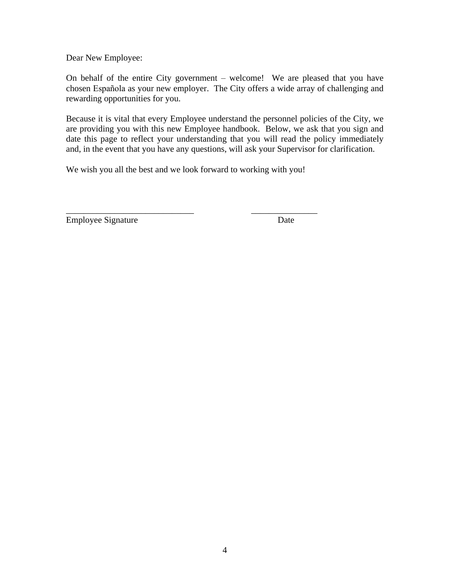Dear New Employee:

On behalf of the entire City government – welcome! We are pleased that you have chosen Española as your new employer. The City offers a wide array of challenging and rewarding opportunities for you.

Because it is vital that every Employee understand the personnel policies of the City, we are providing you with this new Employee handbook. Below, we ask that you sign and date this page to reflect your understanding that you will read the policy immediately and, in the event that you have any questions, will ask your Supervisor for clarification.

We wish you all the best and we look forward to working with you!

\_\_\_\_\_\_\_\_\_\_\_\_\_\_\_\_\_\_\_\_\_\_\_\_\_\_\_\_\_ \_\_\_\_\_\_\_\_\_\_\_\_\_\_\_

Employee Signature Date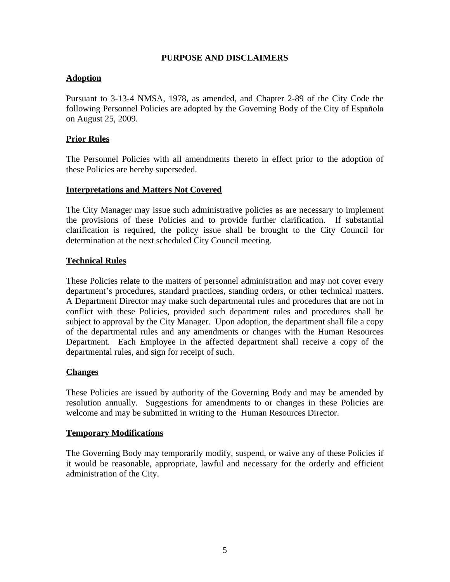#### **PURPOSE AND DISCLAIMERS**

# **Adoption**

Pursuant to 3-13-4 NMSA, 1978, as amended, and Chapter 2-89 of the City Code the following Personnel Policies are adopted by the Governing Body of the City of Española on August 25, 2009.

# **Prior Rules**

The Personnel Policies with all amendments thereto in effect prior to the adoption of these Policies are hereby superseded.

# **Interpretations and Matters Not Covered**

The City Manager may issue such administrative policies as are necessary to implement the provisions of these Policies and to provide further clarification. If substantial clarification is required, the policy issue shall be brought to the City Council for determination at the next scheduled City Council meeting.

# **Technical Rules**

These Policies relate to the matters of personnel administration and may not cover every department's procedures, standard practices, standing orders, or other technical matters. A Department Director may make such departmental rules and procedures that are not in conflict with these Policies, provided such department rules and procedures shall be subject to approval by the City Manager. Upon adoption, the department shall file a copy of the departmental rules and any amendments or changes with the Human Resources Department. Each Employee in the affected department shall receive a copy of the departmental rules, and sign for receipt of such.

#### **Changes**

These Policies are issued by authority of the Governing Body and may be amended by resolution annually. Suggestions for amendments to or changes in these Policies are welcome and may be submitted in writing to the Human Resources Director.

#### **Temporary Modifications**

The Governing Body may temporarily modify, suspend, or waive any of these Policies if it would be reasonable, appropriate, lawful and necessary for the orderly and efficient administration of the City.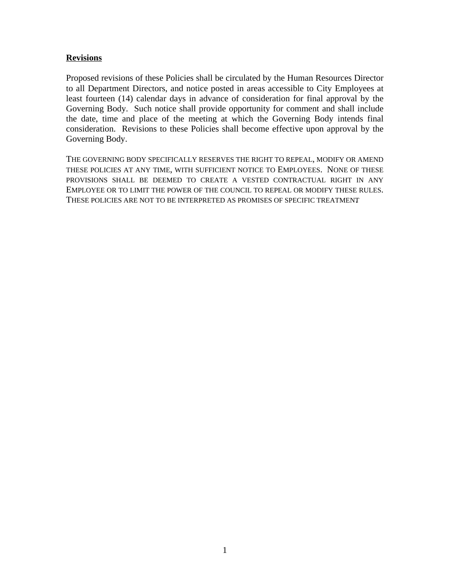#### **Revisions**

Proposed revisions of these Policies shall be circulated by the Human Resources Director to all Department Directors, and notice posted in areas accessible to City Employees at least fourteen (14) calendar days in advance of consideration for final approval by the Governing Body. Such notice shall provide opportunity for comment and shall include the date, time and place of the meeting at which the Governing Body intends final consideration. Revisions to these Policies shall become effective upon approval by the Governing Body.

THE GOVERNING BODY SPECIFICALLY RESERVES THE RIGHT TO REPEAL, MODIFY OR AMEND THESE POLICIES AT ANY TIME, WITH SUFFICIENT NOTICE TO EMPLOYEES. NONE OF THESE PROVISIONS SHALL BE DEEMED TO CREATE A VESTED CONTRACTUAL RIGHT IN ANY EMPLOYEE OR TO LIMIT THE POWER OF THE COUNCIL TO REPEAL OR MODIFY THESE RULES. THESE POLICIES ARE NOT TO BE INTERPRETED AS PROMISES OF SPECIFIC TREATMENT.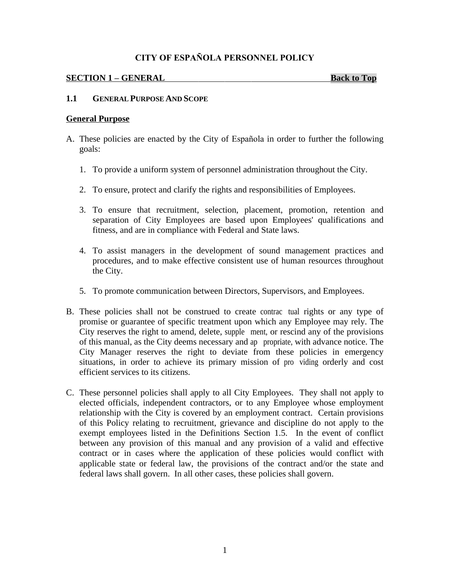#### **CITY OF ESPAÑOLA PERSONNEL POLICY**

#### <span id="page-6-0"></span>**SECTION 1 – GENERAL Back to Top**

#### **1.1 GENERAL PURPOSE AND SCOPE**

#### **General Purpose**

- A. These policies are enacted by the City of Española in order to further the following goals:
	- 1. To provide a uniform system of personnel administration throughout the City.
	- 2. To ensure, protect and clarify the rights and responsibilities of Employees.
	- 3. To ensure that recruitment, selection, placement, promotion, retention and separation of City Employees are based upon Employees' qualifications and fitness, and are in compliance with Federal and State laws.
	- 4. To assist managers in the development of sound management practices and procedures, and to make effective consistent use of human resources throughout the City.
	- 5. To promote communication between Directors, Supervisors, and Employees.
- B. These policies shall not be construed to create contractual rights or any type of promise or guarantee of specific treatment upon which any Employee may rely. The City reserves the right to amend, delete, supplement, or rescind any of the provisions of this manual, as the City deems necessary and appropriate, with advance notice. The City Manager reserves the right to deviate from these policies in emergency situations, in order to achieve its primary mission of providing orderly and cost efficient services to its citizens.
- C. These personnel policies shall apply to all City Employees. They shall not apply to elected officials, independent contractors, or to any Employee whose employment relationship with the City is covered by an employment contract. Certain provisions of this Policy relating to recruitment, grievance and discipline do not apply to the exempt employees listed in the Definitions Section 1.5. In the event of conflict between any provision of this manual and any provision of a valid and effective contract or in cases where the application of these policies would conflict with applicable state or federal law, the provisions of the contract and/or the state and federal laws shall govern. In all other cases, these policies shall govern.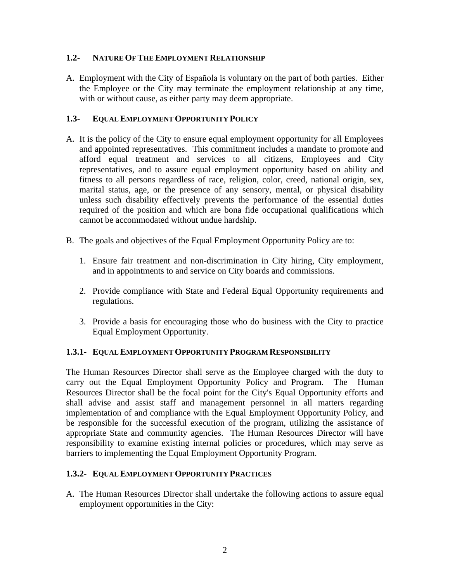#### **1.2- NATURE OF THE EMPLOYMENT RELATIONSHIP**

A. Employment with the City of Española is voluntary on the part of both parties. Either the Employee or the City may terminate the employment relationship at any time, with or without cause, as either party may deem appropriate.

# **1.3- EQUAL EMPLOYMENT OPPORTUNITY POLICY**

- A. It is the policy of the City to ensure equal employment opportunity for all Employees and appointed representatives. This commitment includes a mandate to promote and afford equal treatment and services to all citizens, Employees and City representatives, and to assure equal employment opportunity based on ability and fitness to all persons regardless of race, religion, color, creed, national origin, sex, marital status, age, or the presence of any sensory, mental, or physical disability unless such disability effectively prevents the performance of the essential duties required of the position and which are bona fide occupational qualifications which cannot be accommodated without undue hardship.
- B. The goals and objectives of the Equal Employment Opportunity Policy are to:
	- 1. Ensure fair treatment and non-discrimination in City hiring, City employment, and in appointments to and service on City boards and commissions.
	- 2. Provide compliance with State and Federal Equal Opportunity requirements and regulations.
	- 3. Provide a basis for encouraging those who do business with the City to practice Equal Employment Opportunity.

#### **1.3.1- EQUAL EMPLOYMENT OPPORTUNITY PROGRAM RESPONSIBILITY**

The Human Resources Director shall serve as the Employee charged with the duty to carry out the Equal Employment Opportunity Policy and Program. The Human Resources Director shall be the focal point for the City's Equal Opportunity efforts and shall advise and assist staff and management personnel in all matters regarding implementation of and compliance with the Equal Employment Opportunity Policy, and be responsible for the successful execution of the program, utilizing the assistance of appropriate State and community agencies. The Human Resources Director will have responsibility to examine existing internal policies or procedures, which may serve as barriers to implementing the Equal Employment Opportunity Program.

#### **1.3.2- EQUAL EMPLOYMENT OPPORTUNITY PRACTICES**

A. The Human Resources Director shall undertake the following actions to assure equal employment opportunities in the City: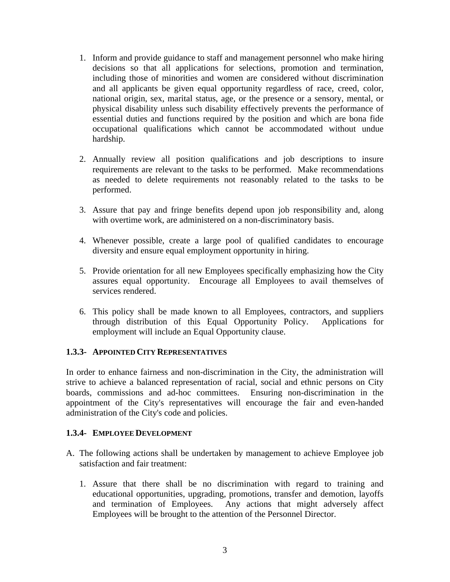- 1. Inform and provide guidance to staff and management personnel who make hiring decisions so that all applications for selections, promotion and termination, including those of minorities and women are considered without discrimination and all applicants be given equal opportunity regardless of race, creed, color, national origin, sex, marital status, age, or the presence or a sensory, mental, or physical disability unless such disability effectively prevents the performance of essential duties and functions required by the position and which are bona fide occupational qualifications which cannot be accommodated without undue hardship.
- 2. Annually review all position qualifications and job descriptions to insure requirements are relevant to the tasks to be performed. Make recommendations as needed to delete requirements not reasonably related to the tasks to be performed.
- 3. Assure that pay and fringe benefits depend upon job responsibility and, along with overtime work, are administered on a non-discriminatory basis.
- 4. Whenever possible, create a large pool of qualified candidates to encourage diversity and ensure equal employment opportunity in hiring.
- 5. Provide orientation for all new Employees specifically emphasizing how the City assures equal opportunity. Encourage all Employees to avail themselves of services rendered.
- 6. This policy shall be made known to all Employees, contractors, and suppliers through distribution of this Equal Opportunity Policy. Applications for employment will include an Equal Opportunity clause.

#### **1.3.3- APPOINTED CITY REPRESENTATIVES**

In order to enhance fairness and non-discrimination in the City, the administration will strive to achieve a balanced representation of racial, social and ethnic persons on City boards, commissions and ad-hoc committees. Ensuring non-discrimination in the appointment of the City's representatives will encourage the fair and even-handed administration of the City's code and policies.

#### **1.3.4- EMPLOYEE DEVELOPMENT**

- A. The following actions shall be undertaken by management to achieve Employee job satisfaction and fair treatment:
	- 1. Assure that there shall be no discrimination with regard to training and educational opportunities, upgrading, promotions, transfer and demotion, layoffs and termination of Employees. Any actions that might adversely affect Employees will be brought to the attention of the Personnel Director.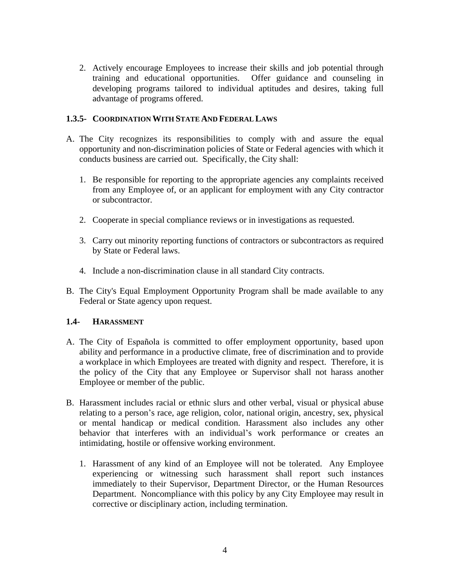2. Actively encourage Employees to increase their skills and job potential through training and educational opportunities. Offer guidance and counseling in developing programs tailored to individual aptitudes and desires, taking full advantage of programs offered.

# **1.3.5- COORDINATION WITH STATE AND FEDERAL LAWS**

- A. The City recognizes its responsibilities to comply with and assure the equal opportunity and non-discrimination policies of State or Federal agencies with which it conducts business are carried out. Specifically, the City shall:
	- 1. Be responsible for reporting to the appropriate agencies any complaints received from any Employee of, or an applicant for employment with any City contractor or subcontractor.
	- 2. Cooperate in special compliance reviews or in investigations as requested.
	- 3. Carry out minority reporting functions of contractors or subcontractors as required by State or Federal laws.
	- 4. Include a non-discrimination clause in all standard City contracts.
- B. The City's Equal Employment Opportunity Program shall be made available to any Federal or State agency upon request.

# **1.4- HARASSMENT**

- A. The City of Española is committed to offer employment opportunity, based upon ability and performance in a productive climate, free of discrimination and to provide a workplace in which Employees are treated with dignity and respect. Therefore, it is the policy of the City that any Employee or Supervisor shall not harass another Employee or member of the public.
- B. Harassment includes racial or ethnic slurs and other verbal, visual or physical abuse relating to a person's race, age religion, color, national origin, ancestry, sex, physical or mental handicap or medical condition. Harassment also includes any other behavior that interferes with an individual's work performance or creates an intimidating, hostile or offensive working environment.
	- 1. Harassment of any kind of an Employee will not be tolerated. Any Employee experiencing or witnessing such harassment shall report such instances immediately to their Supervisor, Department Director, or the Human Resources Department. Noncompliance with this policy by any City Employee may result in corrective or disciplinary action, including termination.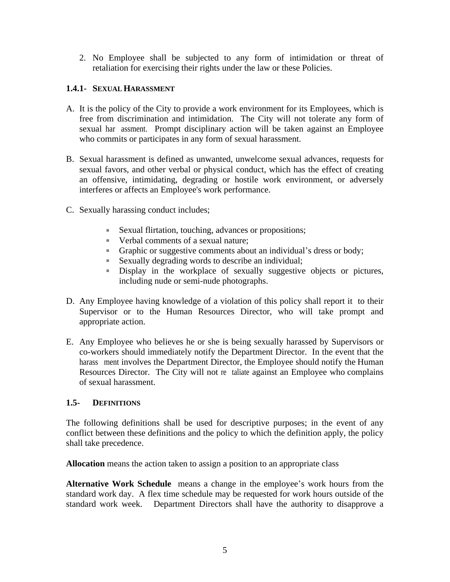2. No Employee shall be subjected to any form of intimidation or threat of retaliation for exercising their rights under the law or these Policies.

# **1.4.1- SEXUAL HARASSMENT**

- A. It is the policy of the City to provide a work environment for its Employees, which is free from discrimination and intimidation. The City will not tolerate any form of sexual har assment. Prompt disciplinary action will be taken against an Employee who commits or participates in any form of sexual harassment.
- B. Sexual harassment is defined as unwanted, unwelcome sexual advances, requests for sexual favors, and other verbal or physical conduct, which has the effect of creating an offensive, intimidating, degrading or hostile work environment, or adversely interferes or affects an Employee's work performance.
- C. Sexually harassing conduct includes;
	- Sexual flirtation, touching, advances or propositions;
	- Verbal comments of a sexual nature;
	- Graphic or suggestive comments about an individual's dress or body;
	- Sexually degrading words to describe an individual;
	- Display in the workplace of sexually suggestive objects or pictures, including nude or semi-nude photographs.
- D. Any Employee having knowledge of a violation of this policy shall report it to their Supervisor or to the Human Resources Director, who will take prompt and appropriate action.
- E. Any Employee who believes he or she is being sexually harassed by Supervisors or co-workers should immediately notify the Department Director. In the event that the harass ment involves the Department Director, the Employee should notify the Human Resources Director. The City will not retaliate against an Employee who complains of sexual harassment.

#### **1.5- DEFINITIONS**

The following definitions shall be used for descriptive purposes; in the event of any conflict between these definitions and the policy to which the definition apply, the policy shall take precedence.

**Allocation** means the action taken to assign a position to an appropriate class

**Alternative Work Schedule** means a change in the employee's work hours from the standard work day. A flex time schedule may be requested for work hours outside of the standard work week. Department Directors shall have the authority to disapprove a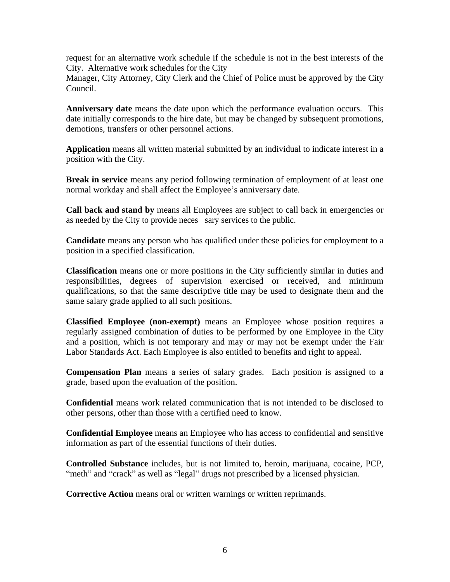request for an alternative work schedule if the schedule is not in the best interests of the City. Alternative work schedules for the City

Manager, City Attorney, City Clerk and the Chief of Police must be approved by the City Council.

**Anniversary date** means the date upon which the performance evaluation occurs. This date initially corresponds to the hire date, but may be changed by subsequent promotions, demotions, transfers or other personnel actions.

**Application** means all written material submitted by an individual to indicate interest in a position with the City.

**Break in service** means any period following termination of employment of at least one normal workday and shall affect the Employee's anniversary date.

**Call back and stand by** means all Employees are subject to call back in emergencies or as needed by the City to provide neces sary services to the public.

**Candidate** means any person who has qualified under these policies for employment to a position in a specified classification.

**Classification** means one or more positions in the City sufficiently similar in duties and responsibilities, degrees of supervision exercised or received, and minimum qualifications, so that the same descriptive title may be used to designate them and the same salary grade applied to all such positions.

**Classified Employee (non-exempt)** means an Employee whose position requires a regularly assigned combination of duties to be performed by one Employee in the City and a position, which is not temporary and may or may not be exempt under the Fair Labor Standards Act. Each Employee is also entitled to benefits and right to appeal.

**Compensation Plan** means a series of salary grades. Each position is assigned to a grade, based upon the evaluation of the position.

**Confidential** means work related communication that is not intended to be disclosed to other persons, other than those with a certified need to know.

**Confidential Employee** means an Employee who has access to confidential and sensitive information as part of the essential functions of their duties.

**Controlled Substance** includes, but is not limited to, heroin, marijuana, cocaine, PCP, "meth" and "crack" as well as "legal" drugs not prescribed by a licensed physician.

**Corrective Action** means oral or written warnings or written reprimands.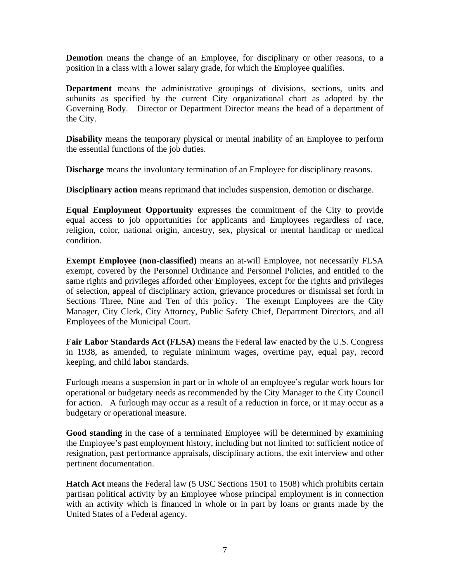**Demotion** means the change of an Employee, for disciplinary or other reasons, to a position in a class with a lower salary grade, for which the Employee qualifies.

**Department** means the administrative groupings of divisions, sections, units and subunits as specified by the current City organizational chart as adopted by the Governing Body. Director or Department Director means the head of a department of the City.

**Disability** means the temporary physical or mental inability of an Employee to perform the essential functions of the job duties.

**Discharge** means the involuntary termination of an Employee for disciplinary reasons.

**Disciplinary action** means reprimand that includes suspension, demotion or discharge.

**Equal Employment Opportunity** expresses the commitment of the City to provide equal access to job opportunities for applicants and Employees regardless of race, religion, color, national origin, ancestry, sex, physical or mental handicap or medical condition.

**Exempt Employee (non-classified)** means an at-will Employee, not necessarily FLSA exempt, covered by the Personnel Ordinance and Personnel Policies, and entitled to the same rights and privileges afforded other Employees, except for the rights and privileges of selection, appeal of disciplinary action, grievance procedures or dismissal set forth in Sections Three, Nine and Ten of this policy. The exempt Employees are the City Manager, City Clerk, City Attorney, Public Safety Chief, Department Directors, and all Employees of the Municipal Court.

**Fair Labor Standards Act (FLSA)** means the Federal law enacted by the U.S. Congress in 1938, as amended, to regulate minimum wages, overtime pay, equal pay, record keeping, and child labor standards.

**F**urlough means a suspension in part or in whole of an employee's regular work hours for operational or budgetary needs as recommended by the City Manager to the City Council for action. A furlough may occur as a result of a reduction in force, or it may occur as a budgetary or operational measure.

**Good standing** in the case of a terminated Employee will be determined by examining the Employee's past employment history, including but not limited to: sufficient notice of resignation, past performance appraisals, disciplinary actions, the exit interview and other pertinent documentation.

**Hatch Act** means the Federal law (5 USC Sections 1501 to 1508) which prohibits certain partisan political activity by an Employee whose principal employment is in connection with an activity which is financed in whole or in part by loans or grants made by the United States of a Federal agency.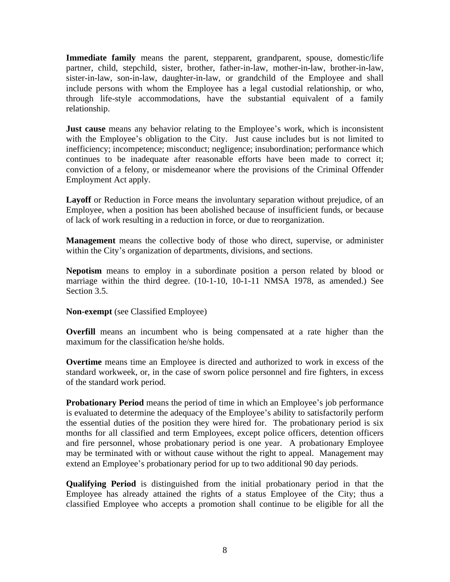**Immediate family** means the parent, stepparent, grandparent, spouse, domestic/life partner, child, stepchild, sister, brother, father-in-law, mother-in-law, brother-in-law, sister-in-law, son-in-law, daughter-in-law, or grandchild of the Employee and shall include persons with whom the Employee has a legal custodial relationship, or who, through life-style accommodations, have the substantial equivalent of a family relationship.

**Just cause** means any behavior relating to the Employee's work, which is inconsistent with the Employee's obligation to the City. Just cause includes but is not limited to inefficiency; incompetence; misconduct; negligence; insubordination; performance which continues to be inadequate after reasonable efforts have been made to correct it; conviction of a felony, or misdemeanor where the provisions of the Criminal Offender Employment Act apply.

**Layoff** or Reduction in Force means the involuntary separation without prejudice, of an Employee, when a position has been abolished because of insufficient funds, or because of lack of work resulting in a reduction in force, or due to reorganization.

**Management** means the collective body of those who direct, supervise, or administer within the City's organization of departments, divisions, and sections.

**Nepotism** means to employ in a subordinate position a person related by blood or marriage within the third degree. (10-1-10, 10-1-11 NMSA 1978, as amended.) See Section 3.5.

**Non-exempt** (see Classified Employee)

**Overfill** means an incumbent who is being compensated at a rate higher than the maximum for the classification he/she holds.

**Overtime** means time an Employee is directed and authorized to work in excess of the standard workweek, or, in the case of sworn police personnel and fire fighters, in excess of the standard work period.

**Probationary Period** means the period of time in which an Employee's job performance is evaluated to determine the adequacy of the Employee's ability to satisfactorily perform the essential duties of the position they were hired for. The probationary period is six months for all classified and term Employees, except police officers, detention officers and fire personnel, whose probationary period is one year. A probationary Employee may be terminated with or without cause without the right to appeal. Management may extend an Employee's probationary period for up to two additional 90 day periods.

**Qualifying Period** is distinguished from the initial probationary period in that the Employee has already attained the rights of a status Employee of the City; thus a classified Employee who accepts a promotion shall continue to be eligible for all the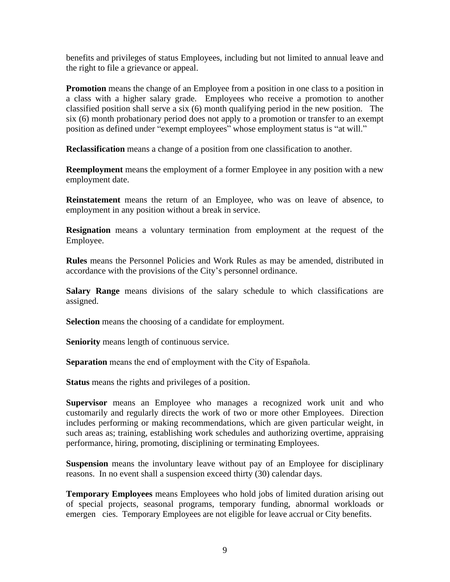benefits and privileges of status Employees, including but not limited to annual leave and the right to file a grievance or appeal.

**Promotion** means the change of an Employee from a position in one class to a position in a class with a higher salary grade. Employees who receive a promotion to another classified position shall serve a six (6) month qualifying period in the new position. The six (6) month probationary period does not apply to a promotion or transfer to an exempt position as defined under "exempt employees" whose employment status is "at will."

**Reclassification** means a change of a position from one classification to another.

**Reemployment** means the employment of a former Employee in any position with a new employment date.

**Reinstatement** means the return of an Employee, who was on leave of absence, to employment in any position without a break in service.

**Resignation** means a voluntary termination from employment at the request of the Employee.

**Rules** means the Personnel Policies and Work Rules as may be amended, distributed in accordance with the provisions of the City's personnel ordinance.

**Salary Range** means divisions of the salary schedule to which classifications are assigned.

**Selection** means the choosing of a candidate for employment.

**Seniority** means length of continuous service.

**Separation** means the end of employment with the City of Española.

**Status** means the rights and privileges of a position.

**Supervisor** means an Employee who manages a recognized work unit and who customarily and regularly directs the work of two or more other Employees. Direction includes performing or making recommendations, which are given particular weight, in such areas as; training, establishing work schedules and authorizing overtime, appraising performance, hiring, promoting, disciplining or terminating Employees.

**Suspension** means the involuntary leave without pay of an Employee for disciplinary reasons. In no event shall a suspension exceed thirty (30) calendar days.

**Temporary Employees** means Employees who hold jobs of limited duration arising out of special projects, seasonal programs, temporary funding, abnormal workloads or emergen cies. Temporary Employees are not eligible for leave accrual or City benefits.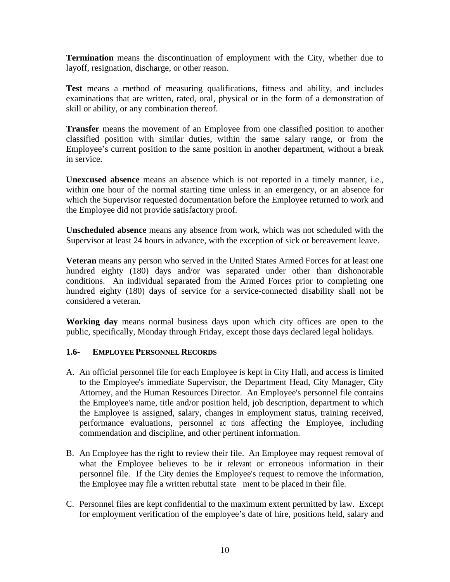**Termination** means the discontinuation of employment with the City, whether due to layoff, resignation, discharge, or other reason.

**Test** means a method of measuring qualifications, fitness and ability, and includes examinations that are written, rated, oral, physical or in the form of a demonstration of skill or ability, or any combination thereof.

**Transfer** means the movement of an Employee from one classified position to another classified position with similar duties, within the same salary range, or from the Employee's current position to the same position in another department, without a break in service.

**Unexcused absence** means an absence which is not reported in a timely manner, i.e., within one hour of the normal starting time unless in an emergency, or an absence for which the Supervisor requested documentation before the Employee returned to work and the Employee did not provide satisfactory proof.

**Unscheduled absence** means any absence from work, which was not scheduled with the Supervisor at least 24 hours in advance, with the exception of sick or bereavement leave.

**Veteran** means any person who served in the United States Armed Forces for at least one hundred eighty (180) days and/or was separated under other than dishonorable conditions. An individual separated from the Armed Forces prior to completing one hundred eighty (180) days of service for a service-connected disability shall not be considered a veteran.

**Working day** means normal business days upon which city offices are open to the public, specifically, Monday through Friday, except those days declared legal holidays.

# **1.6- EMPLOYEE PERSONNEL RECORDS**

- A. An official personnel file for each Employee is kept in City Hall, and access is limited to the Employee's immediate Supervisor, the Department Head, City Manager, City Attorney, and the Human Resources Director. An Employee's personnel file contains the Employee's name, title and/or position held, job description, department to which the Employee is assigned, salary, changes in employment status, training received, performance evaluations, personnel ac tions affecting the Employee, including commendation and discipline, and other pertinent information.
- B. An Employee has the right to review their file. An Employee may request removal of what the Employee believes to be ir relevant or erroneous information in their personnel file. If the City denies the Employee's request to remove the information, the Employee may file a written rebuttal state ment to be placed in their file.
- C. Personnel files are kept confidential to the maximum extent permitted by law. Except for employment verification of the employee's date of hire, positions held, salary and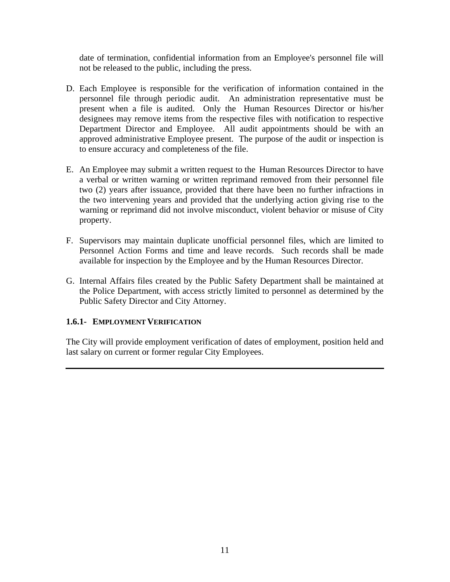date of termination, confidential information from an Employee's personnel file will not be released to the public, including the press.

- D. Each Employee is responsible for the verification of information contained in the personnel file through periodic audit. An administration representative must be present when a file is audited. Only the Human Resources Director or his/her designees may remove items from the respective files with notification to respective Department Director and Employee. All audit appointments should be with an approved administrative Employee present. The purpose of the audit or inspection is to ensure accuracy and completeness of the file.
- E. An Employee may submit a written request to the Human Resources Director to have a verbal or written warning or written reprimand removed from their personnel file two (2) years after issuance, provided that there have been no further infractions in the two intervening years and provided that the underlying action giving rise to the warning or reprimand did not involve misconduct, violent behavior or misuse of City property.
- F. Supervisors may maintain duplicate unofficial personnel files, which are limited to Personnel Action Forms and time and leave records. Such records shall be made available for inspection by the Employee and by the Human Resources Director.
- G. Internal Affairs files created by the Public Safety Department shall be maintained at the Police Department, with access strictly limited to personnel as determined by the Public Safety Director and City Attorney.

# **1.6.1- EMPLOYMENT VERIFICATION**

The City will provide employment verification of dates of employment, position held and last salary on current or former regular City Employees.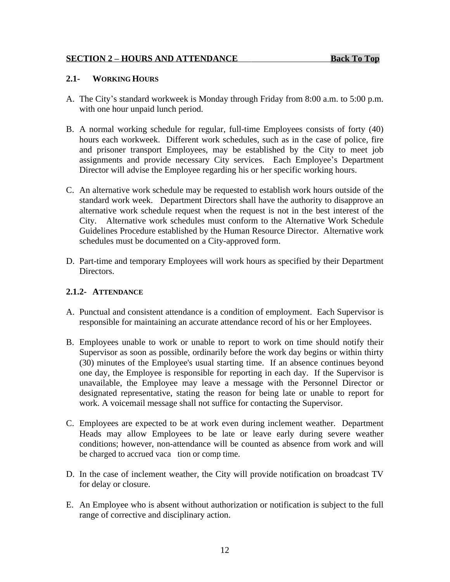#### **SECTION 2 – HOURS AND ATTENDANCE Back To Top**

#### <span id="page-17-0"></span>**2.1- WORKING HOURS**

- A. The City's standard workweek is Monday through Friday from 8:00 a.m. to 5:00 p.m. with one hour unpaid lunch period.
- B. A normal working schedule for regular, full-time Employees consists of forty (40) hours each workweek. Different work schedules, such as in the case of police, fire and prisoner transport Employees, may be established by the City to meet job assignments and provide necessary City services. Each Employee's Department Director will advise the Employee regarding his or her specific working hours.
- C. An alternative work schedule may be requested to establish work hours outside of the standard work week. Department Directors shall have the authority to disapprove an alternative work schedule request when the request is not in the best interest of the City. Alternative work schedules must conform to the Alternative Work Schedule Guidelines Procedure established by the Human Resource Director. Alternative work schedules must be documented on a City-approved form.
- D. Part-time and temporary Employees will work hours as specified by their Department Directors.

# **2.1.2- ATTENDANCE**

- A. Punctual and consistent attendance is a condition of employment. Each Supervisor is responsible for maintaining an accurate attendance record of his or her Employees.
- B. Employees unable to work or unable to report to work on time should notify their Supervisor as soon as possible, ordinarily before the work day begins or within thirty (30) minutes of the Employee's usual starting time. If an absence continues beyond one day, the Employee is responsible for reporting in each day. If the Supervisor is unavailable, the Employee may leave a message with the Personnel Director or designated representative, stating the reason for being late or unable to report for work. A voicemail message shall not suffice for contacting the Supervisor.
- C. Employees are expected to be at work even during inclement weather. Department Heads may allow Employees to be late or leave early during severe weather conditions; however, non-attendance will be counted as absence from work and will be charged to accrued vacation or comp time.
- D. In the case of inclement weather, the City will provide notification on broadcast TV for delay or closure.
- E. An Employee who is absent without authorization or notification is subject to the full range of corrective and disciplinary action.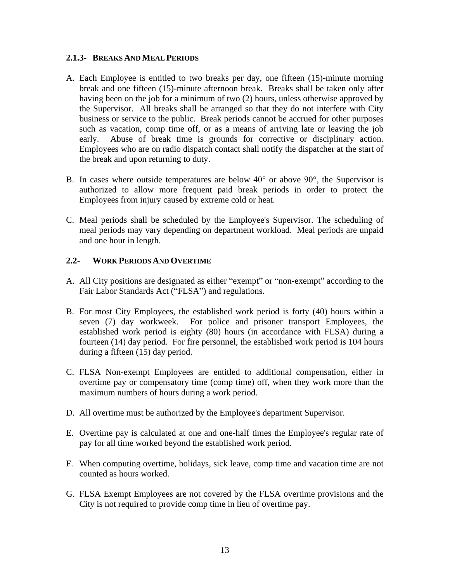#### **2.1.3- BREAKS AND MEAL PERIODS**

- A. Each Employee is entitled to two breaks per day, one fifteen (15)-minute morning break and one fifteen (15)-minute afternoon break. Breaks shall be taken only after having been on the job for a minimum of two (2) hours, unless otherwise approved by the Supervisor. All breaks shall be arranged so that they do not interfere with City business or service to the public. Break periods cannot be accrued for other purposes such as vacation, comp time off, or as a means of arriving late or leaving the job early. Abuse of break time is grounds for corrective or disciplinary action. Employees who are on radio dispatch contact shall notify the dispatcher at the start of the break and upon returning to duty.
- B. In cases where outside temperatures are below  $40^{\circ}$  or above  $90^{\circ}$ , the Supervisor is authorized to allow more frequent paid break periods in order to protect the Employees from injury caused by extreme cold or heat.
- C. Meal periods shall be scheduled by the Employee's Supervisor. The scheduling of meal periods may vary depending on department workload. Meal periods are unpaid and one hour in length.

# **2.2- WORK PERIODS AND OVERTIME**

- A. All City positions are designated as either "exempt" or "non-exempt" according to the Fair Labor Standards Act ("FLSA") and regulations.
- B. For most City Employees, the established work period is forty (40) hours within a seven (7) day workweek. For police and prisoner transport Employees, the established work period is eighty (80) hours (in accordance with FLSA) during a fourteen (14) day period. For fire personnel, the established work period is 104 hours during a fifteen (15) day period.
- C. FLSA Non-exempt Employees are entitled to additional compensation, either in overtime pay or compensatory time (comp time) off, when they work more than the maximum numbers of hours during a work period.
- D. All overtime must be authorized by the Employee's department Supervisor.
- E. Overtime pay is calculated at one and one-half times the Employee's regular rate of pay for all time worked beyond the established work period.
- F. When computing overtime, holidays, sick leave, comp time and vacation time are not counted as hours worked.
- G. FLSA Exempt Employees are not covered by the FLSA overtime provisions and the City is not required to provide comp time in lieu of overtime pay.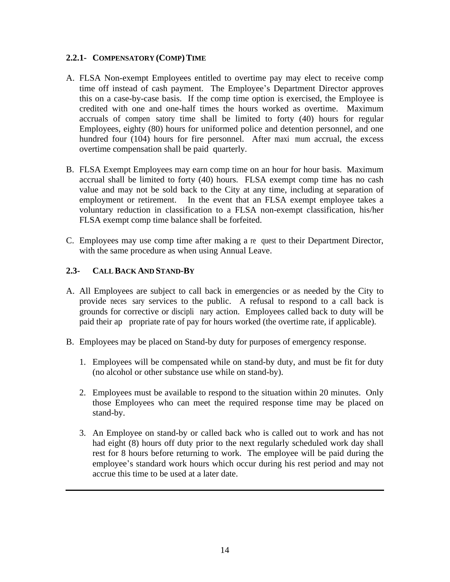#### **2.2.1- COMPENSATORY (COMP)TIME**

- A. FLSA Non-exempt Employees entitled to overtime pay may elect to receive comp time off instead of cash payment. The Employee's Department Director approves this on a case-by-case basis. If the comp time option is exercised, the Employee is credited with one and one-half times the hours worked as overtime. Maximum accruals of compensatory time shall be limited to forty (40) hours for regular Employees, eighty (80) hours for uniformed police and detention personnel, and one hundred four (104) hours for fire personnel. After maxi mum accrual, the excess overtime compensation shall be paid quarterly.
- B. FLSA Exempt Employees may earn comp time on an hour for hour basis. Maximum accrual shall be limited to forty (40) hours. FLSA exempt comp time has no cash value and may not be sold back to the City at any time, including at separation of employment or retirement. In the event that an FLSA exempt employee takes a voluntary reduction in classification to a FLSA non-exempt classification, his/her FLSA exempt comp time balance shall be forfeited.
- C. Employees may use comp time after making a request to their Department Director, with the same procedure as when using Annual Leave.

# **2.3- CALL BACK AND STAND-BY**

- A. All Employees are subject to call back in emergencies or as needed by the City to provide neces sary services to the public. A refusal to respond to a call back is grounds for corrective or disciplinary action. Employees called back to duty will be paid their appropriate rate of pay for hours worked (the overtime rate, if applicable).
- B. Employees may be placed on Stand-by duty for purposes of emergency response.
	- 1. Employees will be compensated while on stand-by duty, and must be fit for duty (no alcohol or other substance use while on stand-by).
	- 2. Employees must be available to respond to the situation within 20 minutes. Only those Employees who can meet the required response time may be placed on stand-by.
	- 3. An Employee on stand-by or called back who is called out to work and has not had eight (8) hours off duty prior to the next regularly scheduled work day shall rest for 8 hours before returning to work. The employee will be paid during the employee's standard work hours which occur during his rest period and may not accrue this time to be used at a later date.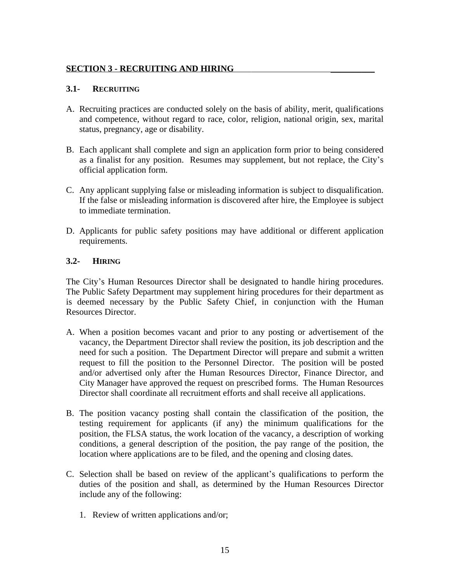# <span id="page-20-0"></span>**SECTION 3 - RECRUITING AND HIRING \_\_\_\_\_\_\_\_\_\_**

# **3.1- RECRUITING**

- A. Recruiting practices are conducted solely on the basis of ability, merit, qualifications and competence, without regard to race, color, religion, national origin, sex, marital status, pregnancy, age or disability.
- B. Each applicant shall complete and sign an application form prior to being considered as a finalist for any position. Resumes may supplement, but not replace, the City's official application form.
- C. Any applicant supplying false or misleading information is subject to disqualification. If the false or misleading information is discovered after hire, the Employee is subject to immediate termination.
- D. Applicants for public safety positions may have additional or different application requirements.

# **3.2- HIRING**

The City's Human Resources Director shall be designated to handle hiring procedures. The Public Safety Department may supplement hiring procedures for their department as is deemed necessary by the Public Safety Chief, in conjunction with the Human Resources Director.

- A. When a position becomes vacant and prior to any posting or advertisement of the vacancy, the Department Director shall review the position, its job description and the need for such a position. The Department Director will prepare and submit a written request to fill the position to the Personnel Director. The position will be posted and/or advertised only after the Human Resources Director, Finance Director, and City Manager have approved the request on prescribed forms. The Human Resources Director shall coordinate all recruitment efforts and shall receive all applications.
- B. The position vacancy posting shall contain the classification of the position, the testing requirement for applicants (if any) the minimum qualifications for the position, the FLSA status, the work location of the vacancy, a description of working conditions, a general description of the position, the pay range of the position, the location where applications are to be filed, and the opening and closing dates.
- C. Selection shall be based on review of the applicant's qualifications to perform the duties of the position and shall, as determined by the Human Resources Director include any of the following:
	- 1. Review of written applications and/or;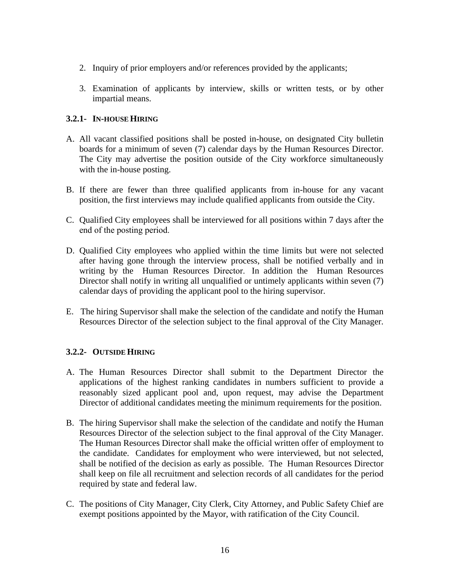- 2. Inquiry of prior employers and/or references provided by the applicants;
- 3. Examination of applicants by interview, skills or written tests, or by other impartial means.

# **3.2.1- IN-HOUSE HIRING**

- A. All vacant classified positions shall be posted in-house, on designated City bulletin boards for a minimum of seven (7) calendar days by the Human Resources Director. The City may advertise the position outside of the City workforce simultaneously with the in-house posting.
- B. If there are fewer than three qualified applicants from in-house for any vacant position, the first interviews may include qualified applicants from outside the City.
- C. Qualified City employees shall be interviewed for all positions within 7 days after the end of the posting period.
- D. Qualified City employees who applied within the time limits but were not selected after having gone through the interview process, shall be notified verbally and in writing by the Human Resources Director. In addition the Human Resources Director shall notify in writing all unqualified or untimely applicants within seven (7) calendar days of providing the applicant pool to the hiring supervisor.
- E. The hiring Supervisor shall make the selection of the candidate and notify the Human Resources Director of the selection subject to the final approval of the City Manager.

# **3.2.2- OUTSIDE HIRING**

- A. The Human Resources Director shall submit to the Department Director the applications of the highest ranking candidates in numbers sufficient to provide a reasonably sized applicant pool and, upon request, may advise the Department Director of additional candidates meeting the minimum requirements for the position.
- B. The hiring Supervisor shall make the selection of the candidate and notify the Human Resources Director of the selection subject to the final approval of the City Manager. The Human Resources Director shall make the official written offer of employment to the candidate. Candidates for employment who were interviewed, but not selected, shall be notified of the decision as early as possible. The Human Resources Director shall keep on file all recruitment and selection records of all candidates for the period required by state and federal law.
- C. The positions of City Manager, City Clerk, City Attorney, and Public Safety Chief are exempt positions appointed by the Mayor, with ratification of the City Council.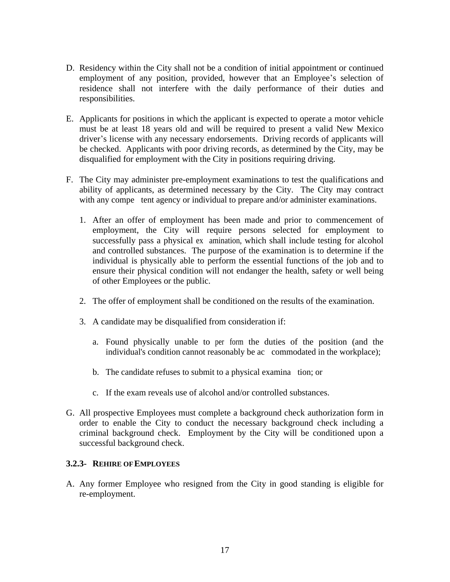- D. Residency within the City shall not be a condition of initial appointment or continued employment of any position, provided, however that an Employee's selection of residence shall not interfere with the daily performance of their duties and responsibilities.
- E. Applicants for positions in which the applicant is expected to operate a motor vehicle must be at least 18 years old and will be required to present a valid New Mexico driver's license with any necessary endorsements. Driving records of applicants will be checked. Applicants with poor driving records, as determined by the City, may be disqualified for employment with the City in positions requiring driving.
- F. The City may administer pre-employment examinations to test the qualifications and ability of applicants, as determined necessary by the City. The City may contract with any compe tent agency or individual to prepare and/or administer examinations.
	- 1. After an offer of employment has been made and prior to commencement of employment, the City will require persons selected for employment to successfully pass a physical examination, which shall include testing for alcohol and controlled substances. The purpose of the examination is to determine if the individual is physically able to perform the essential functions of the job and to ensure their physical condition will not endanger the health, safety or well being of other Employees or the public.
	- 2. The offer of employment shall be conditioned on the results of the examination.
	- 3. A candidate may be disqualified from consideration if:
		- a. Found physically unable to per form the duties of the position (and the individual's condition cannot reasonably be ac commodated in the workplace);
		- b. The candidate refuses to submit to a physical examination; or
		- c. If the exam reveals use of alcohol and/or controlled substances.
- G. All prospective Employees must complete a background check authorization form in order to enable the City to conduct the necessary background check including a criminal background check. Employment by the City will be conditioned upon a successful background check.

#### **3.2.3- REHIRE OF EMPLOYEES**

A. Any former Employee who resigned from the City in good standing is eligible for re-employment.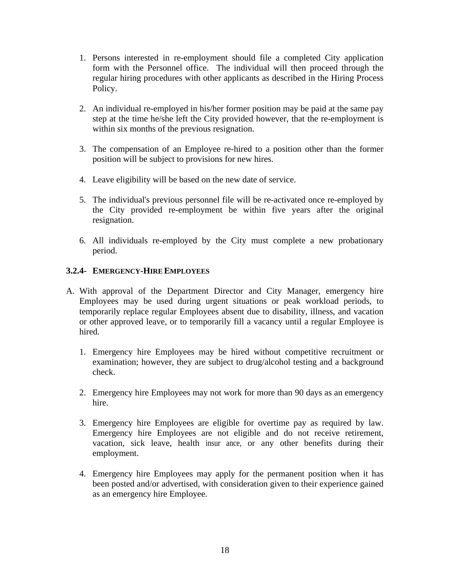- 1. Persons interested in re-employment should file a completed City application form with the Personnel office. The individual will then proceed through the regular hiring procedures with other applicants as described in the Hiring Process Policy.
- 2. An individual re-employed in his/her former position may be paid at the same pay step at the time he/she left the City provided however, that the re-employment is within six months of the previous resignation.
- 3. The compensation of an Employee re-hired to a position other than the former position will be subject to provisions for new hires.
- 4. Leave eligibility will be based on the new date of service.
- 5. The individual's previous personnel file will be re-activated once re-employed by the City provided re-employment be within five years after the original resignation.
- 6. All individuals re-employed by the City must complete a new probationary period.

# **3.2.4- EMERGENCY-HIRE EMPLOYEES**

- A. With approval of the Department Director and City Manager, emergency hire Employees may be used during urgent situations or peak workload periods, to temporarily replace regular Employees absent due to disability, illness, and vacation or other approved leave, or to temporarily fill a vacancy until a regular Employee is hired.
	- 1. Emergency hire Employees may be hired without competitive recruitment or examination; however, they are subject to drug/alcohol testing and a background check.
	- 2. Emergency hire Employees may not work for more than 90 days as an emergency hire.
	- 3. Emergency hire Employees are eligible for overtime pay as required by law. Emergency hire Employees are not eligible and do not receive retirement, vacation, sick leave, health insur ance, or any other benefits during their employment.
	- 4. Emergency hire Employees may apply for the permanent position when it has been posted and/or advertised, with consideration given to their experience gained as an emergency hire Employee.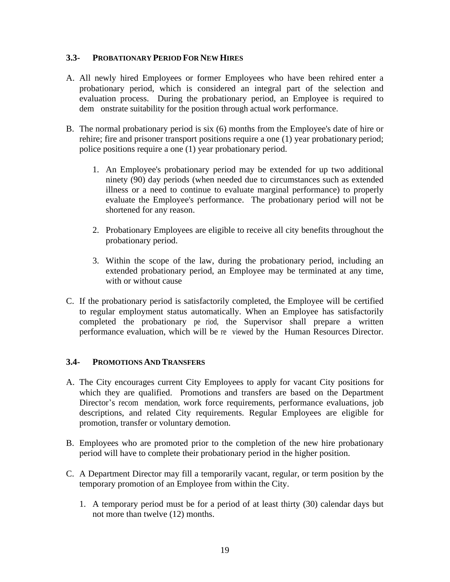#### **3.3- PROBATIONARY PERIOD FOR NEW HIRES**

- A. All newly hired Employees or former Employees who have been rehired enter a probationary period, which is considered an integral part of the selection and evaluation process. During the probationary period, an Employee is required to dem onstrate suitability for the position through actual work performance.
- B. The normal probationary period is six (6) months from the Employee's date of hire or rehire; fire and prisoner transport positions require a one (1) year probationary period; police positions require a one (1) year probationary period.
	- 1. An Employee's probationary period may be extended for up two additional ninety (90) day periods (when needed due to circumstances such as extended illness or a need to continue to evaluate marginal performance) to properly evaluate the Employee's performance. The probationary period will not be shortened for any reason.
	- 2. Probationary Employees are eligible to receive all city benefits throughout the probationary period.
	- 3. Within the scope of the law, during the probationary period, including an extended probationary period, an Employee may be terminated at any time, with or without cause
- C. If the probationary period is satisfactorily completed, the Employee will be certified to regular employment status automatically. When an Employee has satisfactorily completed the probationary period, the Supervisor shall prepare a written performance evaluation, which will be reviewed by the Human Resources Director.

#### **3.4- PROMOTIONS AND TRANSFERS**

- A. The City encourages current City Employees to apply for vacant City positions for which they are qualified. Promotions and transfers are based on the Department Director's recommendation, work force requirements, performance evaluations, job descriptions, and related City requirements. Regular Employees are eligible for promotion, transfer or voluntary demotion.
- B. Employees who are promoted prior to the completion of the new hire probationary period will have to complete their probationary period in the higher position.
- C. A Department Director may fill a temporarily vacant, regular, or term position by the temporary promotion of an Employee from within the City.
	- 1. A temporary period must be for a period of at least thirty (30) calendar days but not more than twelve (12) months.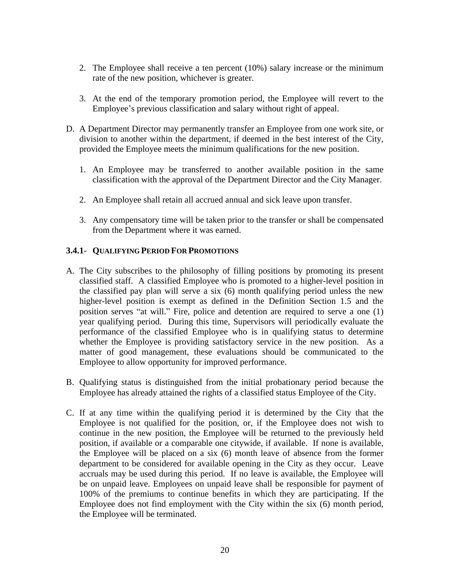- 2. The Employee shall receive a ten percent (10%) salary increase or the minimum rate of the new position, whichever is greater.
- 3. At the end of the temporary promotion period, the Employee will revert to the Employee's previous classification and salary without right of appeal.
- D. A Department Director may permanently transfer an Employee from one work site, or division to another within the department, if deemed in the best interest of the City, provided the Employee meets the minimum qualifications for the new position.
	- 1. An Employee may be transferred to another available position in the same classification with the approval of the Department Director and the City Manager.
	- 2. An Employee shall retain all accrued annual and sick leave upon transfer.
	- 3. Any compensatory time will be taken prior to the transfer or shall be compensated from the Department where it was earned.

# **3.4.1- QUALIFYING PERIOD FOR PROMOTIONS**

- A. The City subscribes to the philosophy of filling positions by promoting its present classified staff. A classified Employee who is promoted to a higher-level position in the classified pay plan will serve a six (6) month qualifying period unless the new higher-level position is exempt as defined in the Definition Section 1.5 and the position serves "at will." Fire, police and detention are required to serve a one (1) year qualifying period. During this time, Supervisors will periodically evaluate the performance of the classified Employee who is in qualifying status to determine whether the Employee is providing satisfactory service in the new position. As a matter of good management, these evaluations should be communicated to the Employee to allow opportunity for improved performance.
- B. Qualifying status is distinguished from the initial probationary period because the Employee has already attained the rights of a classified status Employee of the City.
- C. If at any time within the qualifying period it is determined by the City that the Employee is not qualified for the position, or, if the Employee does not wish to continue in the new position, the Employee will be returned to the previously held position, if available or a comparable one citywide, if available. If none is available, the Employee will be placed on a six (6) month leave of absence from the former department to be considered for available opening in the City as they occur. Leave accruals may be used during this period. If no leave is available, the Employee will be on unpaid leave. Employees on unpaid leave shall be responsible for payment of 100% of the premiums to continue benefits in which they are participating. If the Employee does not find employment with the City within the six (6) month period, the Employee will be terminated.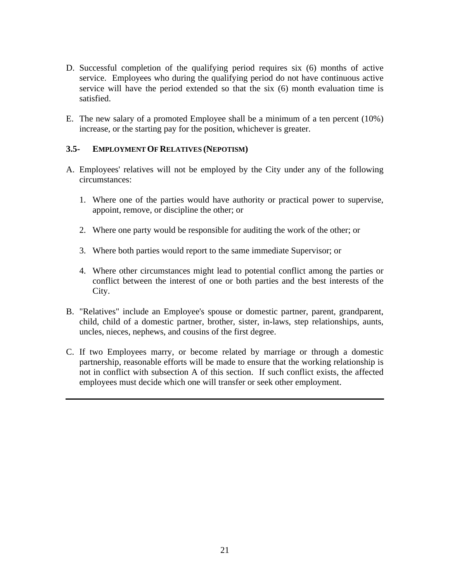- D. Successful completion of the qualifying period requires six (6) months of active service. Employees who during the qualifying period do not have continuous active service will have the period extended so that the six (6) month evaluation time is satisfied.
- E. The new salary of a promoted Employee shall be a minimum of a ten percent (10%) increase, or the starting pay for the position, whichever is greater.

# **3.5- EMPLOYMENT OF RELATIVES (NEPOTISM)**

- A. Employees' relatives will not be employed by the City under any of the following circumstances:
	- 1. Where one of the parties would have authority or practical power to supervise, appoint, remove, or discipline the other; or
	- 2. Where one party would be responsible for auditing the work of the other; or
	- 3. Where both parties would report to the same immediate Supervisor; or
	- 4. Where other circumstances might lead to potential conflict among the parties or conflict between the interest of one or both parties and the best interests of the City.
- B. "Relatives" include an Employee's spouse or domestic partner, parent, grandparent, child, child of a domestic partner, brother, sister, in-laws, step relationships, aunts, uncles, nieces, nephews, and cousins of the first degree.
- C. If two Employees marry, or become related by marriage or through a domestic partnership, reasonable efforts will be made to ensure that the working relationship is not in conflict with subsection A of this section. If such conflict exists, the affected employees must decide which one will transfer or seek other employment.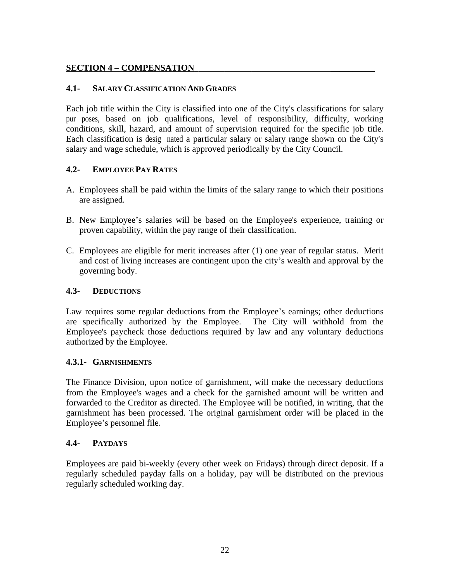# <span id="page-27-0"></span>**SECTION 4 – COMPENSATION \_\_\_\_\_\_\_\_\_\_**

# **4.1- SALARY CLASSIFICATION AND GRADES**

Each job title within the City is classified into one of the City's classifications for salary pur poses, based on job qualifications, level of responsibility, difficulty, working conditions, skill, hazard, and amount of supervision required for the specific job title. Each classification is designated a particular salary or salary range shown on the City's salary and wage schedule, which is approved periodically by the City Council.

# **4.2- EMPLOYEE PAY RATES**

- A. Employees shall be paid within the limits of the salary range to which their positions are assigned.
- B. New Employee's salaries will be based on the Employee's experience, training or proven capability, within the pay range of their classification.
- C. Employees are eligible for merit increases after (1) one year of regular status. Merit and cost of living increases are contingent upon the city's wealth and approval by the governing body.

# **4.3- DEDUCTIONS**

Law requires some regular deductions from the Employee's earnings; other deductions are specifically authorized by the Employee. The City will withhold from the Employee's paycheck those deductions required by law and any voluntary deductions authorized by the Employee.

# **4.3.1- GARNISHMENTS**

The Finance Division, upon notice of garnishment, will make the necessary deductions from the Employee's wages and a check for the garnished amount will be written and forwarded to the Creditor as directed. The Employee will be notified, in writing, that the garnishment has been processed. The original garnishment order will be placed in the Employee's personnel file.

# **4.4- PAYDAYS**

Employees are paid bi-weekly (every other week on Fridays) through direct deposit. If a regularly scheduled payday falls on a holiday, pay will be distributed on the previous regularly scheduled working day.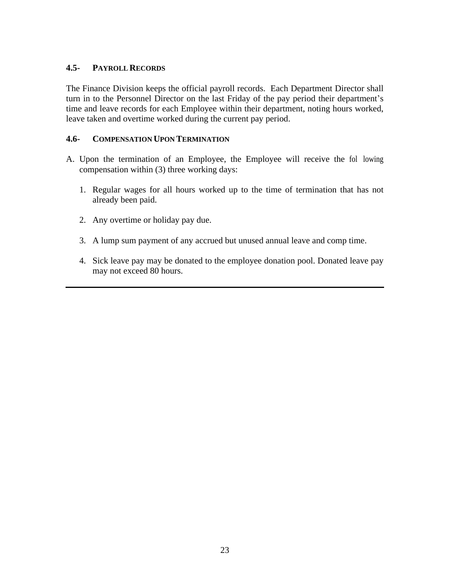# **4.5- PAYROLL RECORDS**

The Finance Division keeps the official payroll records. Each Department Director shall turn in to the Personnel Director on the last Friday of the pay period their department's time and leave records for each Employee within their department, noting hours worked, leave taken and overtime worked during the current pay period.

# **4.6- COMPENSATION UPON TERMINATION**

- A. Upon the termination of an Employee, the Employee will receive the following compensation within (3) three working days:
	- 1. Regular wages for all hours worked up to the time of termination that has not already been paid.
	- 2. Any overtime or holiday pay due.
	- 3. A lump sum payment of any accrued but unused annual leave and comp time.
	- 4. Sick leave pay may be donated to the employee donation pool. Donated leave pay may not exceed 80 hours.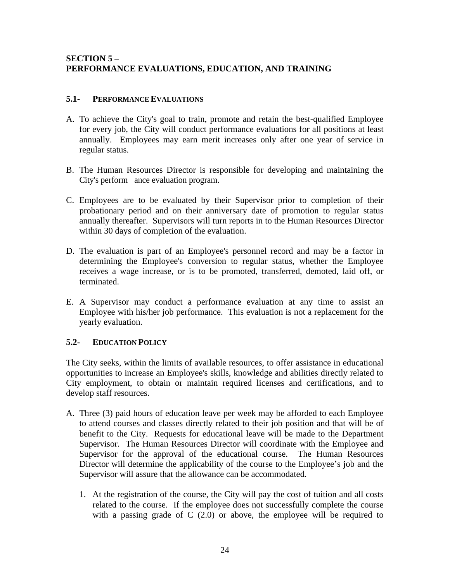# <span id="page-29-0"></span>**SECTION 5 – PERFORMANCE EVALUATIONS, EDUCATION, AND TRAINING**

# **5.1- PERFORMANCE EVALUATIONS**

- A. To achieve the City's goal to train, promote and retain the best-qualified Employee for every job, the City will conduct performance evaluations for all positions at least annually. Employees may earn merit increases only after one year of service in regular status.
- B. The Human Resources Director is responsible for developing and maintaining the City's perform ance evaluation program.
- C. Employees are to be evaluated by their Supervisor prior to completion of their probationary period and on their anniversary date of promotion to regular status annually thereafter. Supervisors will turn reports in to the Human Resources Director within 30 days of completion of the evaluation.
- D. The evaluation is part of an Employee's personnel record and may be a factor in determining the Employee's conversion to regular status, whether the Employee receives a wage increase, or is to be promoted, transferred, demoted, laid off, or terminated.
- E. A Supervisor may conduct a performance evaluation at any time to assist an Employee with his/her job performance. This evaluation is not a replacement for the yearly evaluation.

# **5.2- EDUCATION POLICY**

The City seeks, within the limits of available resources, to offer assistance in educational opportunities to increase an Employee's skills, knowledge and abilities directly related to City employment, to obtain or maintain required licenses and certifications, and to develop staff resources.

- A. Three (3) paid hours of education leave per week may be afforded to each Employee to attend courses and classes directly related to their job position and that will be of benefit to the City. Requests for educational leave will be made to the Department Supervisor. The Human Resources Director will coordinate with the Employee and Supervisor for the approval of the educational course. The Human Resources Director will determine the applicability of the course to the Employee's job and the Supervisor will assure that the allowance can be accommodated.
	- 1. At the registration of the course, the City will pay the cost of tuition and all costs related to the course. If the employee does not successfully complete the course with a passing grade of  $C(2.0)$  or above, the employee will be required to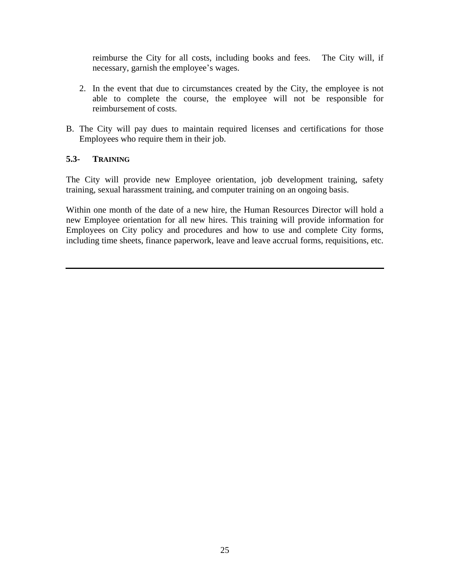reimburse the City for all costs, including books and fees. The City will, if necessary, garnish the employee's wages.

- 2. In the event that due to circumstances created by the City, the employee is not able to complete the course, the employee will not be responsible for reimbursement of costs.
- B. The City will pay dues to maintain required licenses and certifications for those Employees who require them in their job.

# **5.3- TRAINING**

The City will provide new Employee orientation, job development training, safety training, sexual harassment training, and computer training on an ongoing basis.

Within one month of the date of a new hire, the Human Resources Director will hold a new Employee orientation for all new hires. This training will provide information for Employees on City policy and procedures and how to use and complete City forms, including time sheets, finance paperwork, leave and leave accrual forms, requisitions, etc.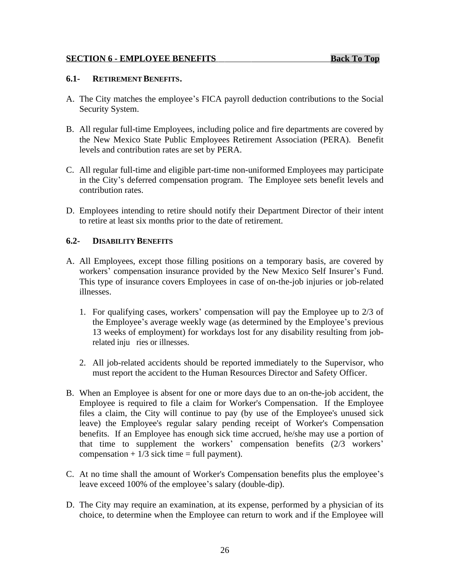#### <span id="page-31-0"></span>**SECTION 6 - EMPLOYEE BENEFITS Back To Top**

#### **6.1- RETIREMENT BENEFITS.**

- A. The City matches the employee's FICA payroll deduction contributions to the Social Security System.
- B. All regular full-time Employees, including police and fire departments are covered by the New Mexico State Public Employees Retirement Association (PERA). Benefit levels and contribution rates are set by PERA.
- C. All regular full-time and eligible part-time non-uniformed Employees may participate in the City's deferred compensation program. The Employee sets benefit levels and contribution rates.
- D. Employees intending to retire should notify their Department Director of their intent to retire at least six months prior to the date of retirement.

#### **6.2- DISABILITY BENEFITS**

- A. All Employees, except those filling positions on a temporary basis, are covered by workers' compensation insurance provided by the New Mexico Self Insurer's Fund. This type of insurance covers Employees in case of on-the-job injuries or job-related illnesses.
	- 1. For qualifying cases, workers' compensation will pay the Employee up to 2/3 of the Employee's average weekly wage (as determined by the Employee's previous 13 weeks of employment) for workdays lost for any disability resulting from jobrelated inju ries or illnesses.
	- 2. All job-related accidents should be reported immediately to the Supervisor, who must report the accident to the Human Resources Director and Safety Officer.
- B. When an Employee is absent for one or more days due to an on-the-job accident, the Employee is required to file a claim for Worker's Compensation. If the Employee files a claim, the City will continue to pay (by use of the Employee's unused sick leave) the Employee's regular salary pending receipt of Worker's Compensation benefits. If an Employee has enough sick time accrued, he/she may use a portion of that time to supplement the workers' compensation benefits (2/3 workers' compensation  $+1/3$  sick time = full payment).
- C. At no time shall the amount of Worker's Compensation benefits plus the employee's leave exceed 100% of the employee's salary (double-dip).
- D. The City may require an examination, at its expense, performed by a physician of its choice, to determine when the Employee can return to work and if the Employee will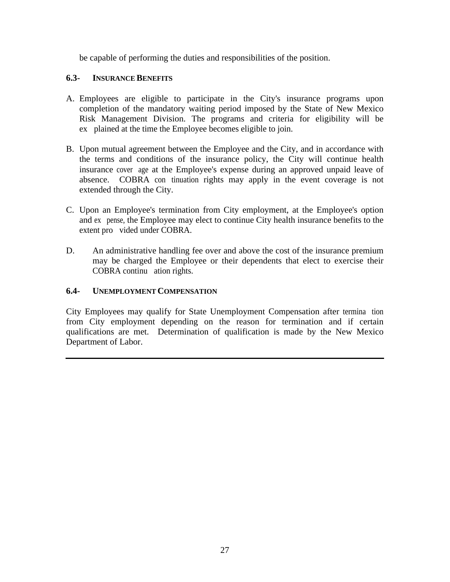be capable of performing the duties and responsibilities of the position.

# **6.3- INSURANCE BENEFITS**

- A. Employees are eligible to participate in the City's insurance programs upon completion of the mandatory waiting period imposed by the State of New Mexico Risk Management Division. The programs and criteria for eligibility will be ex plained at the time the Employee becomes eligible to join.
- B. Upon mutual agreement between the Employee and the City, and in accordance with the terms and conditions of the insurance policy, the City will continue health insurance cover age at the Employee's expense during an approved unpaid leave of absence. COBRA continuation rights may apply in the event coverage is not extended through the City.
- C. Upon an Employee's termination from City employment, at the Employee's option and ex pense, the Employee may elect to continue City health insurance benefits to the extent provided under COBRA.
- D. An administrative handling fee over and above the cost of the insurance premium may be charged the Employee or their dependents that elect to exercise their COBRA continu ation rights.

# **6.4- UNEMPLOYMENT COMPENSATION**

City Employees may qualify for State Unemployment Compensation after termina tion from City employment depending on the reason for termination and if certain qualifications are met. Determination of qualification is made by the New Mexico Department of Labor.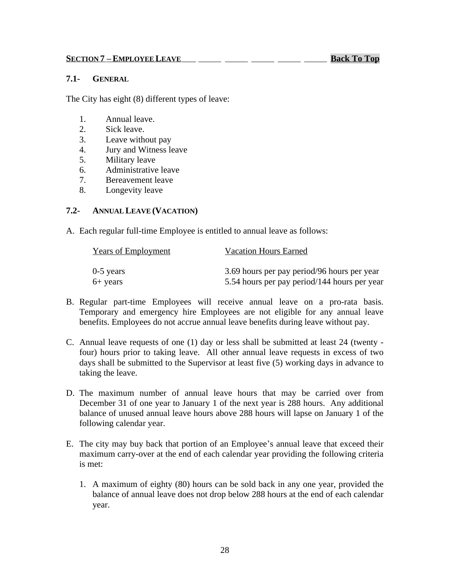#### <span id="page-33-0"></span>**7.1- GENERAL**

The City has eight (8) different types of leave:

- 1. Annual leave.
- 2. Sick leave.
- 3. Leave without pay
- 4. Jury and Witness leave
- 5. Military leave
- 6. Administrative leave
- 7. Bereavement leave
- 8. Longevity leave

#### **7.2- ANNUAL LEAVE (VACATION)**

A. Each regular full-time Employee is entitled to annual leave as follows:

| <b>Years of Employment</b> | <b>Vacation Hours Earned</b>                 |
|----------------------------|----------------------------------------------|
| $0-5$ years                | 3.69 hours per pay period/96 hours per year  |
| $6+$ years                 | 5.54 hours per pay period/144 hours per year |

- B. Regular part-time Employees will receive annual leave on a pro-rata basis. Temporary and emergency hire Employees are not eligible for any annual leave benefits. Employees do not accrue annual leave benefits during leave without pay.
- C. Annual leave requests of one (1) day or less shall be submitted at least 24 (twenty four) hours prior to taking leave. All other annual leave requests in excess of two days shall be submitted to the Supervisor at least five (5) working days in advance to taking the leave.
- D. The maximum number of annual leave hours that may be carried over from December 31 of one year to January 1 of the next year is 288 hours. Any additional balance of unused annual leave hours above 288 hours will lapse on January 1 of the following calendar year.
- E. The city may buy back that portion of an Employee's annual leave that exceed their maximum carry-over at the end of each calendar year providing the following criteria is met:
	- 1. A maximum of eighty (80) hours can be sold back in any one year, provided the balance of annual leave does not drop below 288 hours at the end of each calendar year.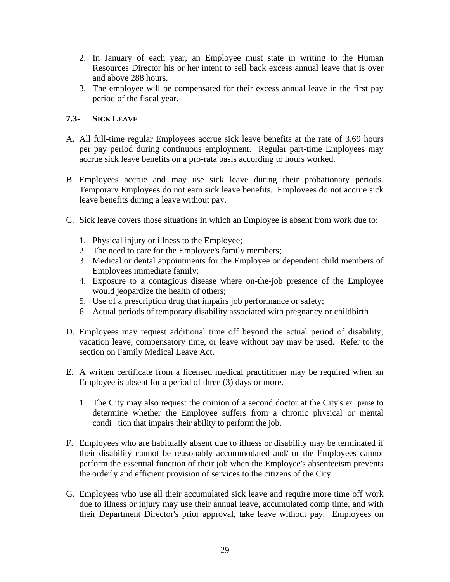- 2. In January of each year, an Employee must state in writing to the Human Resources Director his or her intent to sell back excess annual leave that is over and above 288 hours.
- 3. The employee will be compensated for their excess annual leave in the first pay period of the fiscal year.

# **7.3- SICK LEAVE**

- A. All full-time regular Employees accrue sick leave benefits at the rate of 3.69 hours per pay period during continuous employment. Regular part-time Employees may accrue sick leave benefits on a pro-rata basis according to hours worked.
- B. Employees accrue and may use sick leave during their probationary periods. Temporary Employees do not earn sick leave benefits. Employees do not accrue sick leave benefits during a leave without pay.
- C. Sick leave covers those situations in which an Employee is absent from work due to:
	- 1. Physical injury or illness to the Employee;
	- 2. The need to care for the Employee's family members;
	- 3. Medical or dental appointments for the Employee or dependent child members of Employees immediate family;
	- 4. Exposure to a contagious disease where on-the-job presence of the Employee would jeopardize the health of others;
	- 5. Use of a prescription drug that impairs job performance or safety;
	- 6. Actual periods of temporary disability associated with pregnancy or childbirth
- D. Employees may request additional time off beyond the actual period of disability; vacation leave, compensatory time, or leave without pay may be used. Refer to the section on Family Medical Leave Act.
- E. A written certificate from a licensed medical practitioner may be required when an Employee is absent for a period of three (3) days or more.
	- 1. The City may also request the opinion of a second doctor at the City's expense to determine whether the Employee suffers from a chronic physical or mental condi tion that impairs their ability to perform the job.
- F. Employees who are habitually absent due to illness or disability may be terminated if their disability cannot be reasonably accommodated and/ or the Employees cannot perform the essential function of their job when the Employee's absenteeism prevents the orderly and efficient provision of services to the citizens of the City.
- G. Employees who use all their accumulated sick leave and require more time off work due to illness or injury may use their annual leave, accumulated comp time, and with their Department Director's prior approval, take leave without pay. Employees on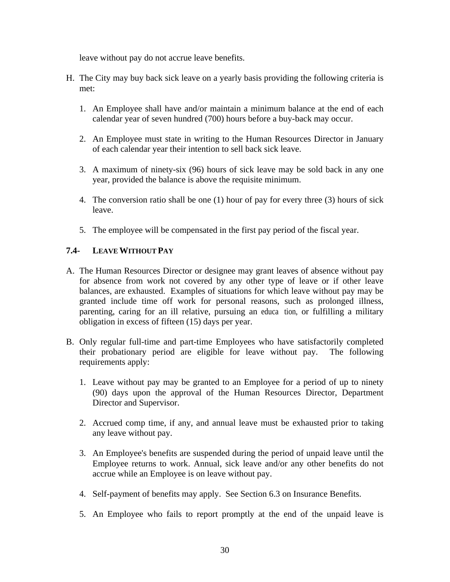leave without pay do not accrue leave benefits.

- H. The City may buy back sick leave on a yearly basis providing the following criteria is met:
	- 1. An Employee shall have and/or maintain a minimum balance at the end of each calendar year of seven hundred (700) hours before a buy-back may occur.
	- 2. An Employee must state in writing to the Human Resources Director in January of each calendar year their intention to sell back sick leave.
	- 3. A maximum of ninety-six (96) hours of sick leave may be sold back in any one year, provided the balance is above the requisite minimum.
	- 4. The conversion ratio shall be one (1) hour of pay for every three (3) hours of sick leave.
	- 5. The employee will be compensated in the first pay period of the fiscal year.

# **7.4- LEAVE WITHOUT PAY**

- A. The Human Resources Director or designee may grant leaves of absence without pay for absence from work not covered by any other type of leave or if other leave balances, are exhausted. Examples of situations for which leave without pay may be granted include time off work for personal reasons, such as prolonged illness, parenting, caring for an ill relative, pursuing an education, or fulfilling a military obligation in excess of fifteen (15) days per year.
- B. Only regular full-time and part-time Employees who have satisfactorily completed their probationary period are eligible for leave without pay. The following requirements apply:
	- 1. Leave without pay may be granted to an Employee for a period of up to ninety (90) days upon the approval of the Human Resources Director, Department Director and Supervisor.
	- 2. Accrued comp time, if any, and annual leave must be exhausted prior to taking any leave without pay.
	- 3. An Employee's benefits are suspended during the period of unpaid leave until the Employee returns to work. Annual, sick leave and/or any other benefits do not accrue while an Employee is on leave without pay.
	- 4. Self-payment of benefits may apply. See Section 6.3 on Insurance Benefits.
	- 5. An Employee who fails to report promptly at the end of the unpaid leave is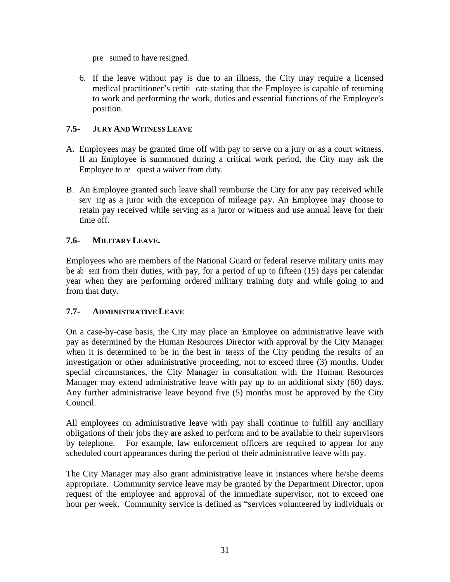pre sumed to have resigned.

6. If the leave without pay is due to an illness, the City may require a licensed medical practitioner's certificate stating that the Employee is capable of returning to work and performing the work, duties and essential functions of the Employee's position.

# **7.5- JURY AND WITNESS LEAVE**

- A. Employees may be granted time off with pay to serve on a jury or as a court witness. If an Employee is summoned during a critical work period, the City may ask the Employee to request a waiver from duty.
- B. An Employee granted such leave shall reimburse the City for any pay received while serving as a juror with the exception of mileage pay. An Employee may choose to retain pay received while serving as a juror or witness and use annual leave for their time off.

# **7.6- MILITARY LEAVE.**

Employees who are members of the National Guard or federal reserve military units may be absent from their duties, with pay, for a period of up to fifteen  $(15)$  days per calendar year when they are performing ordered military training duty and while going to and from that duty.

# **7.7- ADMINISTRATIVE LEAVE**

On a case-by-case basis, the City may place an Employee on administrative leave with pay as determined by the Human Resources Director with approval by the City Manager when it is determined to be in the best in terests of the City pending the results of an investigation or other administrative proceeding, not to exceed three (3) months. Under special circumstances, the City Manager in consultation with the Human Resources Manager may extend administrative leave with pay up to an additional sixty (60) days. Any further administrative leave beyond five (5) months must be approved by the City Council.

All employees on administrative leave with pay shall continue to fulfill any ancillary obligations of their jobs they are asked to perform and to be available to their supervisors by telephone. For example, law enforcement officers are required to appear for any scheduled court appearances during the period of their administrative leave with pay.

The City Manager may also grant administrative leave in instances where he/she deems appropriate. Community service leave may be granted by the Department Director, upon request of the employee and approval of the immediate supervisor, not to exceed one hour per week. Community service is defined as "services volunteered by individuals or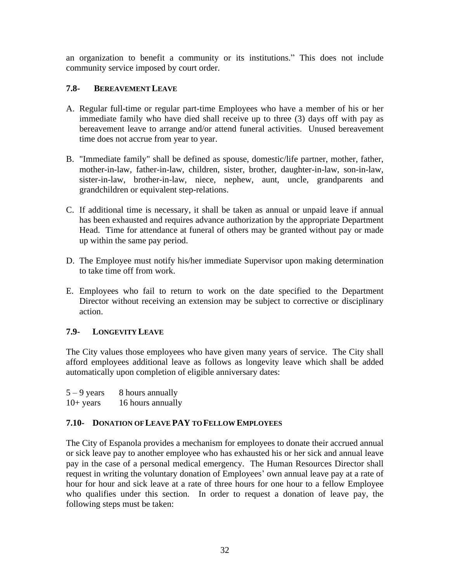an organization to benefit a community or its institutions." This does not include community service imposed by court order.

# **7.8- BEREAVEMENT LEAVE**

- A. Regular full-time or regular part-time Employees who have a member of his or her immediate family who have died shall receive up to three (3) days off with pay as bereavement leave to arrange and/or attend funeral activities. Unused bereavement time does not accrue from year to year.
- B. "Immediate family" shall be defined as spouse, domestic/life partner, mother, father, mother-in-law, father-in-law, children, sister, brother, daughter-in-law, son-in-law, sister-in-law, brother-in-law, niece, nephew, aunt, uncle, grandparents and grandchildren or equivalent step-relations.
- C. If additional time is necessary, it shall be taken as annual or unpaid leave if annual has been exhausted and requires advance authorization by the appropriate Department Head. Time for attendance at funeral of others may be granted without pay or made up within the same pay period.
- D. The Employee must notify his/her immediate Supervisor upon making determination to take time off from work.
- E. Employees who fail to return to work on the date specified to the Department Director without receiving an extension may be subject to corrective or disciplinary action.

# **7.9- LONGEVITY LEAVE**

The City values those employees who have given many years of service. The City shall afford employees additional leave as follows as longevity leave which shall be added automatically upon completion of eligible anniversary dates:

| $5 - 9$ years | 8 hours annually  |
|---------------|-------------------|
| $10+$ years   | 16 hours annually |

# **7.10- DONATION OF LEAVE PAY TO FELLOW EMPLOYEES**

The City of Espanola provides a mechanism for employees to donate their accrued annual or sick leave pay to another employee who has exhausted his or her sick and annual leave pay in the case of a personal medical emergency. The Human Resources Director shall request in writing the voluntary donation of Employees' own annual leave pay at a rate of hour for hour and sick leave at a rate of three hours for one hour to a fellow Employee who qualifies under this section. In order to request a donation of leave pay, the following steps must be taken: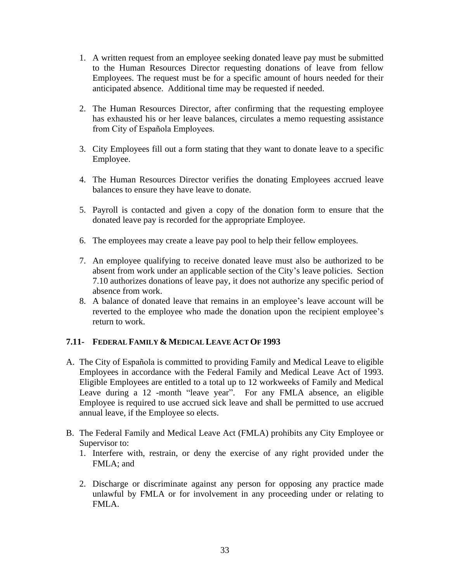- 1. A written request from an employee seeking donated leave pay must be submitted to the Human Resources Director requesting donations of leave from fellow Employees. The request must be for a specific amount of hours needed for their anticipated absence. Additional time may be requested if needed.
- 2. The Human Resources Director, after confirming that the requesting employee has exhausted his or her leave balances, circulates a memo requesting assistance from City of Española Employees.
- 3. City Employees fill out a form stating that they want to donate leave to a specific Employee.
- 4. The Human Resources Director verifies the donating Employees accrued leave balances to ensure they have leave to donate.
- 5. Payroll is contacted and given a copy of the donation form to ensure that the donated leave pay is recorded for the appropriate Employee.
- 6. The employees may create a leave pay pool to help their fellow employees.
- 7. An employee qualifying to receive donated leave must also be authorized to be absent from work under an applicable section of the City's leave policies. Section 7.10 authorizes donations of leave pay, it does not authorize any specific period of absence from work.
- 8. A balance of donated leave that remains in an employee's leave account will be reverted to the employee who made the donation upon the recipient employee's return to work.

# **7.11- FEDERAL FAMILY & MEDICAL LEAVE ACT OF 1993**

- A. The City of Española is committed to providing Family and Medical Leave to eligible Employees in accordance with the Federal Family and Medical Leave Act of 1993. Eligible Employees are entitled to a total up to 12 workweeks of Family and Medical Leave during a 12 -month "leave year". For any FMLA absence, an eligible Employee is required to use accrued sick leave and shall be permitted to use accrued annual leave, if the Employee so elects.
- B. The Federal Family and Medical Leave Act (FMLA) prohibits any City Employee or Supervisor to:
	- 1. Interfere with, restrain, or deny the exercise of any right provided under the FMLA; and
	- 2. Discharge or discriminate against any person for opposing any practice made unlawful by FMLA or for involvement in any proceeding under or relating to FMLA.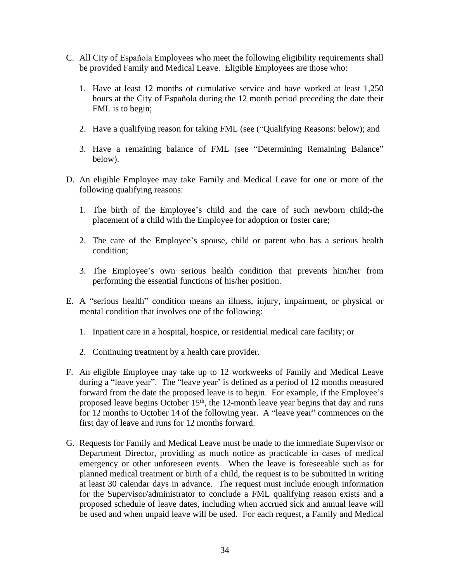- C. All City of Española Employees who meet the following eligibility requirements shall be provided Family and Medical Leave. Eligible Employees are those who:
	- 1. Have at least 12 months of cumulative service and have worked at least 1,250 hours at the City of Española during the 12 month period preceding the date their FML is to begin;
	- 2. Have a qualifying reason for taking FML (see ("Qualifying Reasons: below); and
	- 3. Have a remaining balance of FML (see "Determining Remaining Balance" below).
- D. An eligible Employee may take Family and Medical Leave for one or more of the following qualifying reasons:
	- 1. The birth of the Employee's child and the care of such newborn child;-the placement of a child with the Employee for adoption or foster care;
	- 2. The care of the Employee's spouse, child or parent who has a serious health condition;
	- 3. The Employee's own serious health condition that prevents him/her from performing the essential functions of his/her position.
- E. A "serious health" condition means an illness, injury, impairment, or physical or mental condition that involves one of the following:
	- 1. Inpatient care in a hospital, hospice, or residential medical care facility; or
	- 2. Continuing treatment by a health care provider.
- F. An eligible Employee may take up to 12 workweeks of Family and Medical Leave during a "leave year". The "leave year' is defined as a period of 12 months measured forward from the date the proposed leave is to begin. For example, if the Employee's proposed leave begins October 15<sup>th</sup>, the 12-month leave year begins that day and runs for 12 months to October 14 of the following year. A "leave year" commences on the first day of leave and runs for 12 months forward.
- G. Requests for Family and Medical Leave must be made to the immediate Supervisor or Department Director, providing as much notice as practicable in cases of medical emergency or other unforeseen events. When the leave is foreseeable such as for planned medical treatment or birth of a child, the request is to be submitted in writing at least 30 calendar days in advance. The request must include enough information for the Supervisor/administrator to conclude a FML qualifying reason exists and a proposed schedule of leave dates, including when accrued sick and annual leave will be used and when unpaid leave will be used. For each request, a Family and Medical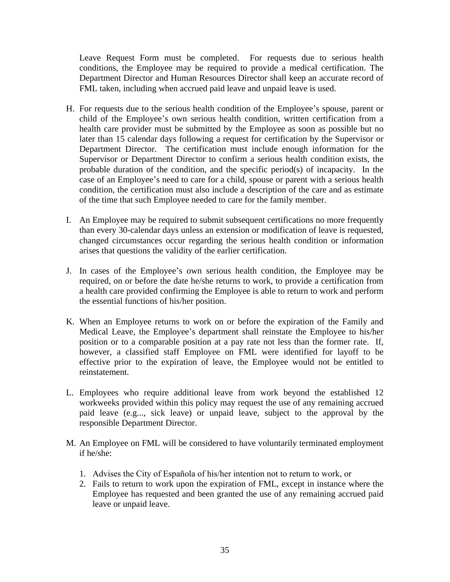Leave Request Form must be completed. For requests due to serious health conditions, the Employee may be required to provide a medical certification. The Department Director and Human Resources Director shall keep an accurate record of FML taken, including when accrued paid leave and unpaid leave is used.

- H. For requests due to the serious health condition of the Employee's spouse, parent or child of the Employee's own serious health condition, written certification from a health care provider must be submitted by the Employee as soon as possible but no later than 15 calendar days following a request for certification by the Supervisor or Department Director. The certification must include enough information for the Supervisor or Department Director to confirm a serious health condition exists, the probable duration of the condition, and the specific period(s) of incapacity. In the case of an Employee's need to care for a child, spouse or parent with a serious health condition, the certification must also include a description of the care and as estimate of the time that such Employee needed to care for the family member.
- I. An Employee may be required to submit subsequent certifications no more frequently than every 30-calendar days unless an extension or modification of leave is requested, changed circumstances occur regarding the serious health condition or information arises that questions the validity of the earlier certification.
- J. In cases of the Employee's own serious health condition, the Employee may be required, on or before the date he/she returns to work, to provide a certification from a health care provided confirming the Employee is able to return to work and perform the essential functions of his/her position.
- K. When an Employee returns to work on or before the expiration of the Family and Medical Leave, the Employee's department shall reinstate the Employee to his/her position or to a comparable position at a pay rate not less than the former rate. If, however, a classified staff Employee on FML were identified for layoff to be effective prior to the expiration of leave, the Employee would not be entitled to reinstatement.
- L. Employees who require additional leave from work beyond the established 12 workweeks provided within this policy may request the use of any remaining accrued paid leave (e.g..., sick leave) or unpaid leave, subject to the approval by the responsible Department Director.
- M. An Employee on FML will be considered to have voluntarily terminated employment if he/she:
	- 1. Advises the City of Española of his/her intention not to return to work, or
	- 2. Fails to return to work upon the expiration of FML, except in instance where the Employee has requested and been granted the use of any remaining accrued paid leave or unpaid leave.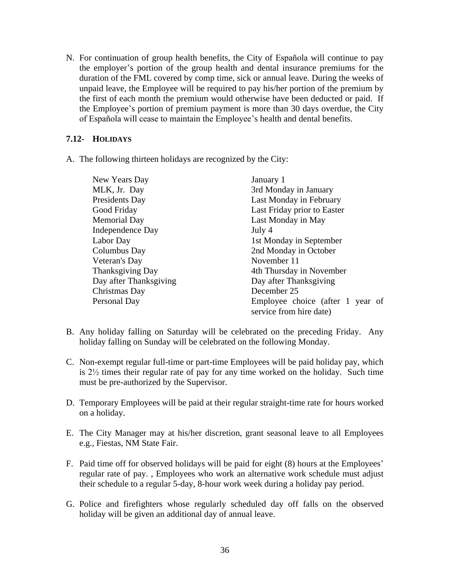N. For continuation of group health benefits, the City of Española will continue to pay the employer's portion of the group health and dental insurance premiums for the duration of the FML covered by comp time, sick or annual leave. During the weeks of unpaid leave, the Employee will be required to pay his/her portion of the premium by the first of each month the premium would otherwise have been deducted or paid. If the Employee's portion of premium payment is more than 30 days overdue, the City of Española will cease to maintain the Employee's health and dental benefits.

# **7.12- HOLIDAYS**

A. The following thirteen holidays are recognized by the City:

| New Years Day           | January 1                                                   |
|-------------------------|-------------------------------------------------------------|
| MLK, Jr. Day            | 3rd Monday in January                                       |
| Presidents Day          | Last Monday in February                                     |
| Good Friday             | Last Friday prior to Easter                                 |
| <b>Memorial Day</b>     | Last Monday in May                                          |
| <b>Independence Day</b> | July 4                                                      |
| Labor Day               | 1st Monday in September                                     |
| Columbus Day            | 2nd Monday in October                                       |
| Veteran's Day           | November 11                                                 |
| Thanksgiving Day        | 4th Thursday in November                                    |
| Day after Thanksgiving  | Day after Thanksgiving                                      |
| Christmas Day           | December 25                                                 |
| Personal Day            | Employee choice (after 1 year of<br>service from hire date) |

- B. Any holiday falling on Saturday will be celebrated on the preceding Friday. Any holiday falling on Sunday will be celebrated on the following Monday.
- C. Non-exempt regular full-time or part-time Employees will be paid holiday pay, which is 2½ times their regular rate of pay for any time worked on the holiday. Such time must be pre-authorized by the Supervisor.
- D. Temporary Employees will be paid at their regular straight-time rate for hours worked on a holiday.
- E. The City Manager may at his/her discretion, grant seasonal leave to all Employees e.g., Fiestas, NM State Fair.
- F. Paid time off for observed holidays will be paid for eight (8) hours at the Employees' regular rate of pay. , Employees who work an alternative work schedule must adjust their schedule to a regular 5-day, 8-hour work week during a holiday pay period.
- G. Police and firefighters whose regularly scheduled day off falls on the observed holiday will be given an additional day of annual leave.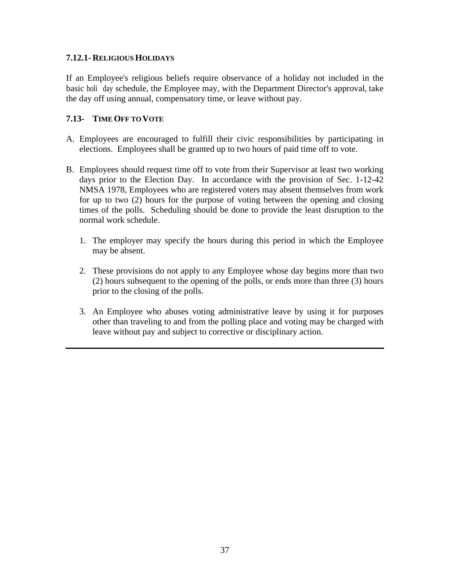### **7.12.1- RELIGIOUS HOLIDAYS**

If an Employee's religious beliefs require observance of a holiday not included in the basic holi day schedule, the Employee may, with the Department Director's approval, take the day off using annual, compensatory time, or leave without pay.

# **7.13- TIME OFF TO VOTE**

- A. Employees are encouraged to fulfill their civic responsibilities by participating in elections. Employees shall be granted up to two hours of paid time off to vote.
- B. Employees should request time off to vote from their Supervisor at least two working days prior to the Election Day. In accordance with the provision of Sec. 1-12-42 NMSA 1978, Employees who are registered voters may absent themselves from work for up to two (2) hours for the purpose of voting between the opening and closing times of the polls. Scheduling should be done to provide the least disruption to the normal work schedule.
	- 1. The employer may specify the hours during this period in which the Employee may be absent.
	- 2. These provisions do not apply to any Employee whose day begins more than two (2) hours subsequent to the opening of the polls, or ends more than three (3) hours prior to the closing of the polls.
	- 3. An Employee who abuses voting administrative leave by using it for purposes other than traveling to and from the polling place and voting may be charged with leave without pay and subject to corrective or disciplinary action.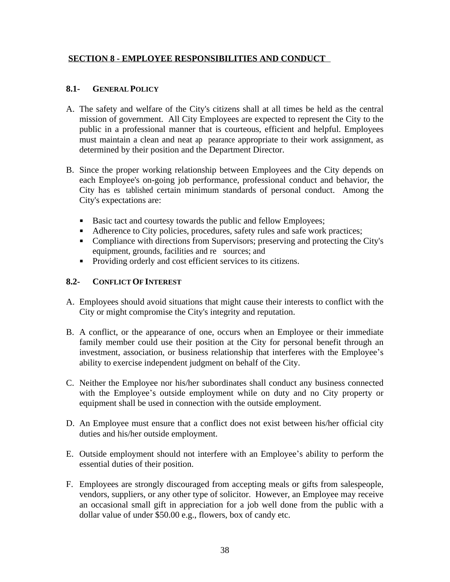# <span id="page-43-0"></span>**SECTION 8 - EMPLOYEE RESPONSIBILITIES AND CONDUCT**

# **8.1- GENERAL POLICY**

- A. The safety and welfare of the City's citizens shall at all times be held as the central mission of government. All City Employees are expected to represent the City to the public in a professional manner that is courteous, efficient and helpful. Employees must maintain a clean and neat ap pearance appropriate to their work assignment, as determined by their position and the Department Director.
- B. Since the proper working relationship between Employees and the City depends on each Employee's on-going job performance, professional conduct and behavior, the City has es tablished certain minimum standards of personal conduct. Among the City's expectations are:
	- Basic tact and courtesy towards the public and fellow Employees;
	- Adherence to City policies, procedures, safety rules and safe work practices;
	- Compliance with directions from Supervisors; preserving and protecting the City's equipment, grounds, facilities and resources; and
	- **Providing orderly and cost efficient services to its citizens.**

# **8.2- CONFLICT OF INTEREST**

- A. Employees should avoid situations that might cause their interests to conflict with the City or might compromise the City's integrity and reputation.
- B. A conflict, or the appearance of one, occurs when an Employee or their immediate family member could use their position at the City for personal benefit through an investment, association, or business relationship that interferes with the Employee's ability to exercise independent judgment on behalf of the City.
- C. Neither the Employee nor his/her subordinates shall conduct any business connected with the Employee's outside employment while on duty and no City property or equipment shall be used in connection with the outside employment.
- D. An Employee must ensure that a conflict does not exist between his/her official city duties and his/her outside employment.
- E. Outside employment should not interfere with an Employee's ability to perform the essential duties of their position.
- F. Employees are strongly discouraged from accepting meals or gifts from salespeople, vendors, suppliers, or any other type of solicitor. However, an Employee may receive an occasional small gift in appreciation for a job well done from the public with a dollar value of under \$50.00 e.g., flowers, box of candy etc.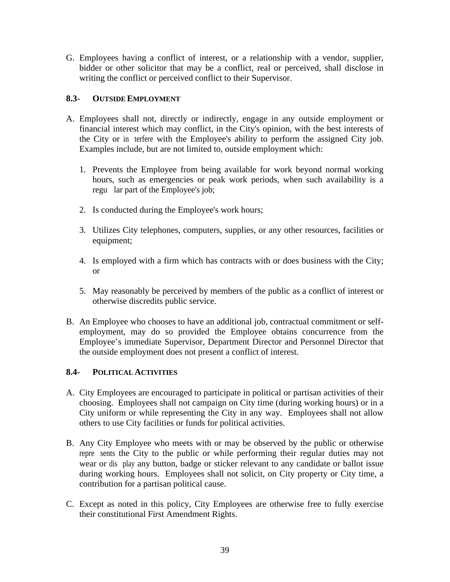G. Employees having a conflict of interest, or a relationship with a vendor, supplier, bidder or other solicitor that may be a conflict, real or perceived, shall disclose in writing the conflict or perceived conflict to their Supervisor.

# **8.3- OUTSIDE EMPLOYMENT**

- A. Employees shall not, directly or indirectly, engage in any outside employment or financial interest which may conflict, in the City's opinion, with the best interests of the City or in terfere with the Employee's ability to perform the assigned City job. Examples include, but are not limited to, outside employment which:
	- 1. Prevents the Employee from being available for work beyond normal working hours, such as emergencies or peak work periods, when such availability is a regu lar part of the Employee's job;
	- 2. Is conducted during the Employee's work hours;
	- 3. Utilizes City telephones, computers, supplies, or any other resources, facilities or equipment;
	- 4. Is employed with a firm which has contracts with or does business with the City; or
	- 5. May reasonably be perceived by members of the public as a conflict of interest or otherwise discredits public service.
- B. An Employee who chooses to have an additional job, contractual commitment or selfemployment, may do so provided the Employee obtains concurrence from the Employee's immediate Supervisor, Department Director and Personnel Director that the outside employment does not present a conflict of interest.

# **8.4- POLITICAL ACTIVITIES**

- A. City Employees are encouraged to participate in political or partisan activities of their choosing. Employees shall not campaign on City time (during working hours) or in a City uniform or while representing the City in any way. Employees shall not allow others to use City facilities or funds for political activities.
- B. Any City Employee who meets with or may be observed by the public or otherwise repre sents the City to the public or while performing their regular duties may not wear or dis play any button, badge or sticker relevant to any candidate or ballot issue during working hours. Employees shall not solicit, on City property or City time, a contribution for a partisan political cause.
- C. Except as noted in this policy, City Employees are otherwise free to fully exercise their constitutional First Amendment Rights.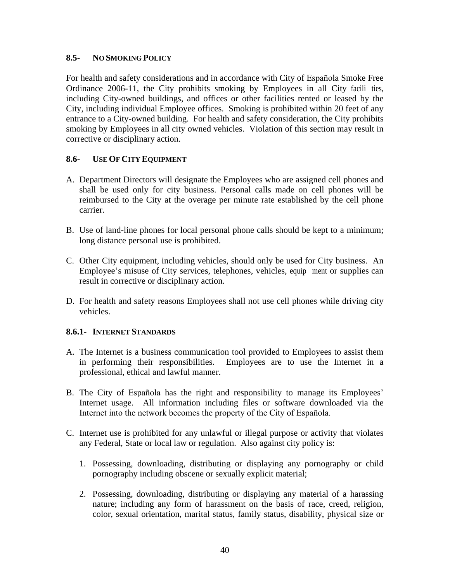#### **8.5- NO SMOKING POLICY**

For health and safety considerations and in accordance with City of Española Smoke Free Ordinance  $2006-11$ , the City prohibits smoking by Employees in all City facilities, including City-owned buildings, and offices or other facilities rented or leased by the City, including individual Employee offices. Smoking is prohibited within 20 feet of any entrance to a City-owned building. For health and safety consideration, the City prohibits smoking by Employees in all city owned vehicles. Violation of this section may result in corrective or disciplinary action.

# **8.6- USE OF CITY EQUIPMENT**

- A. Department Directors will designate the Employees who are assigned cell phones and shall be used only for city business. Personal calls made on cell phones will be reimbursed to the City at the overage per minute rate established by the cell phone carrier.
- B. Use of land-line phones for local personal phone calls should be kept to a minimum; long distance personal use is prohibited.
- C. Other City equipment, including vehicles, should only be used for City business. An Employee's misuse of City services, telephones, vehicles, equipment or supplies can result in corrective or disciplinary action.
- D. For health and safety reasons Employees shall not use cell phones while driving city vehicles.

#### **8.6.1- INTERNET STANDARDS**

- A. The Internet is a business communication tool provided to Employees to assist them in performing their responsibilities. Employees are to use the Internet in a professional, ethical and lawful manner.
- B. The City of Española has the right and responsibility to manage its Employees' Internet usage. All information including files or software downloaded via the Internet into the network becomes the property of the City of Española.
- C. Internet use is prohibited for any unlawful or illegal purpose or activity that violates any Federal, State or local law or regulation. Also against city policy is:
	- 1. Possessing, downloading, distributing or displaying any pornography or child pornography including obscene or sexually explicit material;
	- 2. Possessing, downloading, distributing or displaying any material of a harassing nature; including any form of harassment on the basis of race, creed, religion, color, sexual orientation, marital status, family status, disability, physical size or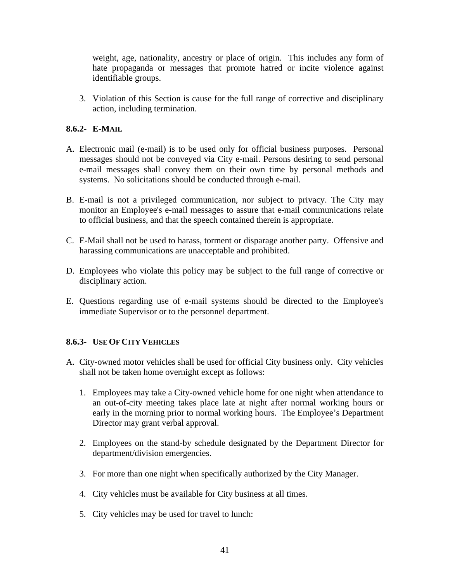weight, age, nationality, ancestry or place of origin. This includes any form of hate propaganda or messages that promote hatred or incite violence against identifiable groups.

3. Violation of this Section is cause for the full range of corrective and disciplinary action, including termination.

# **8.6.2- E-MAIL**

- A. Electronic mail (e-mail) is to be used only for official business purposes. Personal messages should not be conveyed via City e-mail. Persons desiring to send personal e-mail messages shall convey them on their own time by personal methods and systems. No solicitations should be conducted through e-mail.
- B. E-mail is not a privileged communication, nor subject to privacy. The City may monitor an Employee's e-mail messages to assure that e-mail communications relate to official business, and that the speech contained therein is appropriate.
- C. E-Mail shall not be used to harass, torment or disparage another party. Offensive and harassing communications are unacceptable and prohibited.
- D. Employees who violate this policy may be subject to the full range of corrective or disciplinary action.
- E. Questions regarding use of e-mail systems should be directed to the Employee's immediate Supervisor or to the personnel department.

#### **8.6.3- USE OF CITY VEHICLES**

- A. City-owned motor vehicles shall be used for official City business only. City vehicles shall not be taken home overnight except as follows:
	- 1. Employees may take a City-owned vehicle home for one night when attendance to an out-of-city meeting takes place late at night after normal working hours or early in the morning prior to normal working hours. The Employee's Department Director may grant verbal approval.
	- 2. Employees on the stand-by schedule designated by the Department Director for department/division emergencies.
	- 3. For more than one night when specifically authorized by the City Manager.
	- 4. City vehicles must be available for City business at all times.
	- 5. City vehicles may be used for travel to lunch: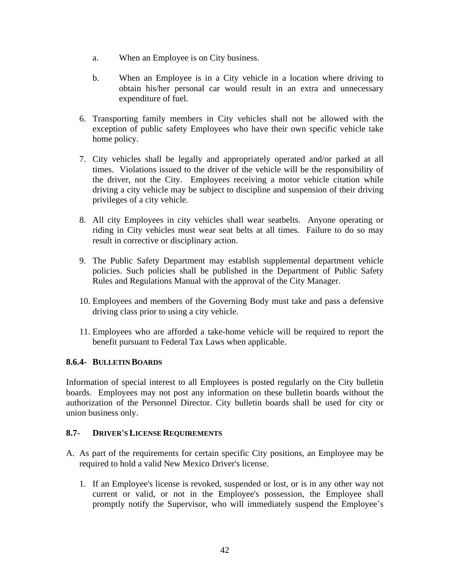- a. When an Employee is on City business.
- b. When an Employee is in a City vehicle in a location where driving to obtain his/her personal car would result in an extra and unnecessary expenditure of fuel.
- 6. Transporting family members in City vehicles shall not be allowed with the exception of public safety Employees who have their own specific vehicle take home policy.
- 7. City vehicles shall be legally and appropriately operated and/or parked at all times. Violations issued to the driver of the vehicle will be the responsibility of the driver, not the City. Employees receiving a motor vehicle citation while driving a city vehicle may be subject to discipline and suspension of their driving privileges of a city vehicle.
- 8. All city Employees in city vehicles shall wear seatbelts. Anyone operating or riding in City vehicles must wear seat belts at all times. Failure to do so may result in corrective or disciplinary action.
- 9. The Public Safety Department may establish supplemental department vehicle policies. Such policies shall be published in the Department of Public Safety Rules and Regulations Manual with the approval of the City Manager.
- 10. Employees and members of the Governing Body must take and pass a defensive driving class prior to using a city vehicle.
- 11. Employees who are afforded a take-home vehicle will be required to report the benefit pursuant to Federal Tax Laws when applicable.

# **8.6.4- BULLETIN BOARDS**

Information of special interest to all Employees is posted regularly on the City bulletin boards. Employees may not post any information on these bulletin boards without the authorization of the Personnel Director. City bulletin boards shall be used for city or union business only.

#### **8.7- DRIVER'S LICENSE REQUIREMENTS**

- A. As part of the requirements for certain specific City positions, an Employee may be required to hold a valid New Mexico Driver's license.
	- 1. If an Employee's license is revoked, suspended or lost, or is in any other way not current or valid, or not in the Employee's possession, the Employee shall promptly notify the Supervisor, who will immediately suspend the Employee's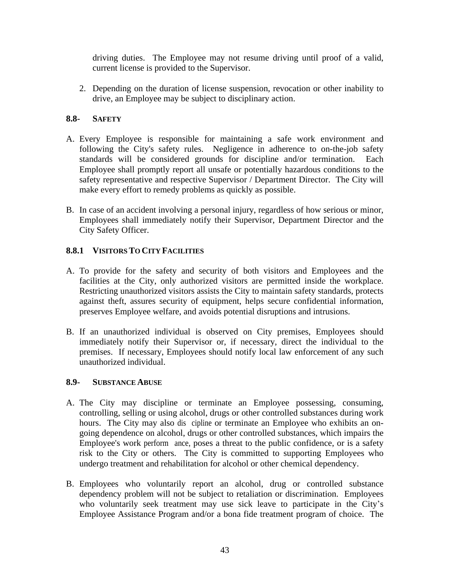driving duties. The Employee may not resume driving until proof of a valid, current license is provided to the Supervisor.

2. Depending on the duration of license suspension, revocation or other inability to drive, an Employee may be subject to disciplinary action.

# **8.8- SAFETY**

- A. Every Employee is responsible for maintaining a safe work environment and following the City's safety rules. Negligence in adherence to on-the-job safety standards will be considered grounds for discipline and/or termination. Each Employee shall promptly report all unsafe or potentially hazardous conditions to the safety representative and respective Supervisor / Department Director. The City will make every effort to remedy problems as quickly as possible.
- B. In case of an accident involving a personal injury, regardless of how serious or minor, Employees shall immediately notify their Supervisor, Department Director and the City Safety Officer.

# **8.8.1 VISITORS TO CITY FACILITIES**

- A. To provide for the safety and security of both visitors and Employees and the facilities at the City, only authorized visitors are permitted inside the workplace. Restricting unauthorized visitors assists the City to maintain safety standards, protects against theft, assures security of equipment, helps secure confidential information, preserves Employee welfare, and avoids potential disruptions and intrusions.
- B. If an unauthorized individual is observed on City premises, Employees should immediately notify their Supervisor or, if necessary, direct the individual to the premises. If necessary, Employees should notify local law enforcement of any such unauthorized individual.

#### **8.9- SUBSTANCE ABUSE**

- A. The City may discipline or terminate an Employee possessing, consuming, controlling, selling or using alcohol, drugs or other controlled substances during work hours. The City may also dis cipline or terminate an Employee who exhibits an ongoing dependence on alcohol, drugs or other controlled substances, which impairs the Employee's work perform ance, poses a threat to the public confidence, or is a safety risk to the City or others. The City is committed to supporting Employees who undergo treatment and rehabilitation for alcohol or other chemical dependency.
- B. Employees who voluntarily report an alcohol, drug or controlled substance dependency problem will not be subject to retaliation or discrimination. Employees who voluntarily seek treatment may use sick leave to participate in the City's Employee Assistance Program and/or a bona fide treatment program of choice. The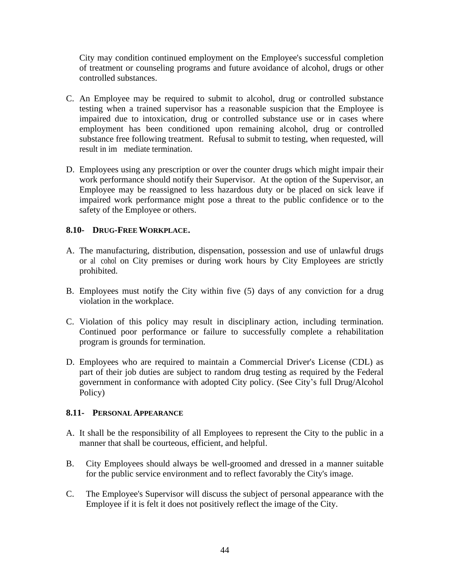City may condition continued employment on the Employee's successful completion of treatment or counseling programs and future avoidance of alcohol, drugs or other controlled substances.

- C. An Employee may be required to submit to alcohol, drug or controlled substance testing when a trained supervisor has a reasonable suspicion that the Employee is impaired due to intoxication, drug or controlled substance use or in cases where employment has been conditioned upon remaining alcohol, drug or controlled substance free following treatment. Refusal to submit to testing, when requested, will result in immediate termination.
- D. Employees using any prescription or over the counter drugs which might impair their work performance should notify their Supervisor. At the option of the Supervisor, an Employee may be reassigned to less hazardous duty or be placed on sick leave if impaired work performance might pose a threat to the public confidence or to the safety of the Employee or others.

# **8.10- DRUG-FREE WORKPLACE.**

- A. The manufacturing, distribution, dispensation, possession and use of unlawful drugs or al cohol on City premises or during work hours by City Employees are strictly prohibited.
- B. Employees must notify the City within five (5) days of any conviction for a drug violation in the workplace.
- C. Violation of this policy may result in disciplinary action, including termination. Continued poor performance or failure to successfully complete a rehabilitation program is grounds for termination.
- D. Employees who are required to maintain a Commercial Driver's License (CDL) as part of their job duties are subject to random drug testing as required by the Federal government in conformance with adopted City policy. (See City's full Drug/Alcohol Policy)

#### **8.11- PERSONAL APPEARANCE**

- A. It shall be the responsibility of all Employees to represent the City to the public in a manner that shall be courteous, efficient, and helpful.
- B. City Employees should always be well-groomed and dressed in a manner suitable for the public service environment and to reflect favorably the City's image.
- C. The Employee's Supervisor will discuss the subject of personal appearance with the Employee if it is felt it does not positively reflect the image of the City.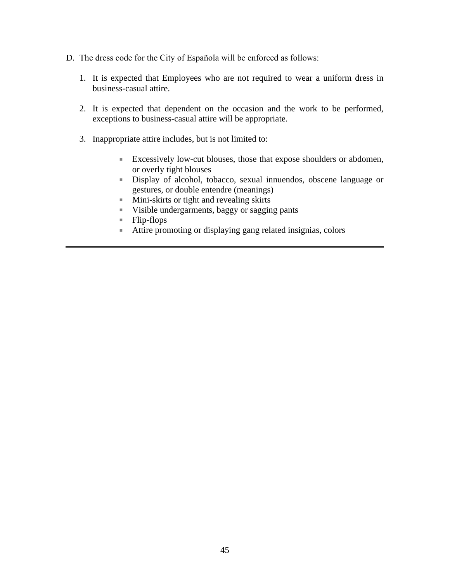- D. The dress code for the City of Española will be enforced as follows:
	- 1. It is expected that Employees who are not required to wear a uniform dress in business-casual attire.
	- 2. It is expected that dependent on the occasion and the work to be performed, exceptions to business-casual attire will be appropriate.
	- 3. Inappropriate attire includes, but is not limited to:
		- Excessively low-cut blouses, those that expose shoulders or abdomen, or overly tight blouses
		- Display of alcohol, tobacco, sexual innuendos, obscene language or gestures, or double entendre (meanings)
		- Mini-skirts or tight and revealing skirts
		- Visible undergarments, baggy or sagging pants
		- $\blacksquare$  Flip-flops
		- Attire promoting or displaying gang related insignias, colors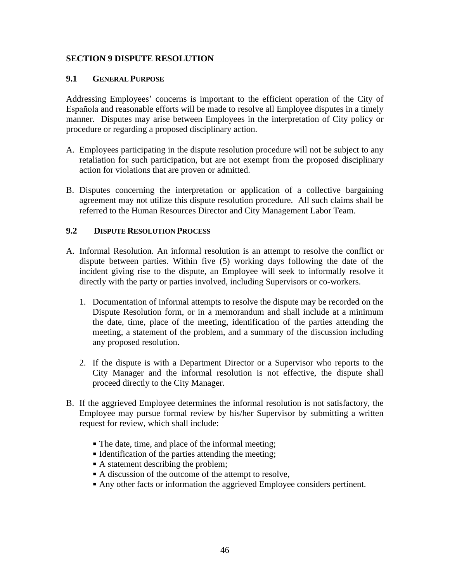#### <span id="page-51-0"></span>**SECTION 9 DISPUTE RESOLUTION**

# **9.1 GENERAL PURPOSE**

Addressing Employees' concerns is important to the efficient operation of the City of Española and reasonable efforts will be made to resolve all Employee disputes in a timely manner. Disputes may arise between Employees in the interpretation of City policy or procedure or regarding a proposed disciplinary action.

- A. Employees participating in the dispute resolution procedure will not be subject to any retaliation for such participation, but are not exempt from the proposed disciplinary action for violations that are proven or admitted.
- B. Disputes concerning the interpretation or application of a collective bargaining agreement may not utilize this dispute resolution procedure. All such claims shall be referred to the Human Resources Director and City Management Labor Team.

# **9.2 DISPUTE RESOLUTION PROCESS**

- A. Informal Resolution. An informal resolution is an attempt to resolve the conflict or dispute between parties. Within five (5) working days following the date of the incident giving rise to the dispute, an Employee will seek to informally resolve it directly with the party or parties involved, including Supervisors or co-workers.
	- 1. Documentation of informal attempts to resolve the dispute may be recorded on the Dispute Resolution form, or in a memorandum and shall include at a minimum the date, time, place of the meeting, identification of the parties attending the meeting, a statement of the problem, and a summary of the discussion including any proposed resolution.
	- 2. If the dispute is with a Department Director or a Supervisor who reports to the City Manager and the informal resolution is not effective, the dispute shall proceed directly to the City Manager.
- B. If the aggrieved Employee determines the informal resolution is not satisfactory, the Employee may pursue formal review by his/her Supervisor by submitting a written request for review, which shall include:
	- The date, time, and place of the informal meeting;
	- In Identification of the parties attending the meeting;
	- A statement describing the problem;
	- A discussion of the outcome of the attempt to resolve,
	- Any other facts or information the aggrieved Employee considers pertinent.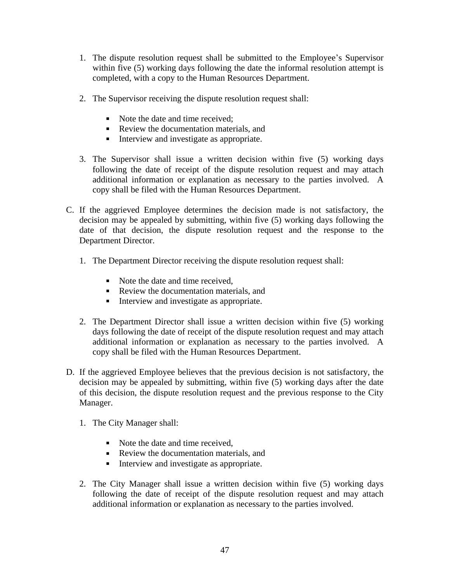- 1. The dispute resolution request shall be submitted to the Employee's Supervisor within five (5) working days following the date the informal resolution attempt is completed, with a copy to the Human Resources Department.
- 2. The Supervisor receiving the dispute resolution request shall:
	- Note the date and time received;
	- Review the documentation materials, and
	- Interview and investigate as appropriate.
- 3. The Supervisor shall issue a written decision within five (5) working days following the date of receipt of the dispute resolution request and may attach additional information or explanation as necessary to the parties involved. A copy shall be filed with the Human Resources Department.
- C. If the aggrieved Employee determines the decision made is not satisfactory, the decision may be appealed by submitting, within five (5) working days following the date of that decision, the dispute resolution request and the response to the Department Director.
	- 1. The Department Director receiving the dispute resolution request shall:
		- Note the date and time received.
		- Review the documentation materials, and
		- Interview and investigate as appropriate.
	- 2. The Department Director shall issue a written decision within five (5) working days following the date of receipt of the dispute resolution request and may attach additional information or explanation as necessary to the parties involved. A copy shall be filed with the Human Resources Department.
- D. If the aggrieved Employee believes that the previous decision is not satisfactory, the decision may be appealed by submitting, within five (5) working days after the date of this decision, the dispute resolution request and the previous response to the City Manager.
	- 1. The City Manager shall:
		- Note the date and time received.
		- Review the documentation materials, and
		- Interview and investigate as appropriate.
	- 2. The City Manager shall issue a written decision within five (5) working days following the date of receipt of the dispute resolution request and may attach additional information or explanation as necessary to the parties involved.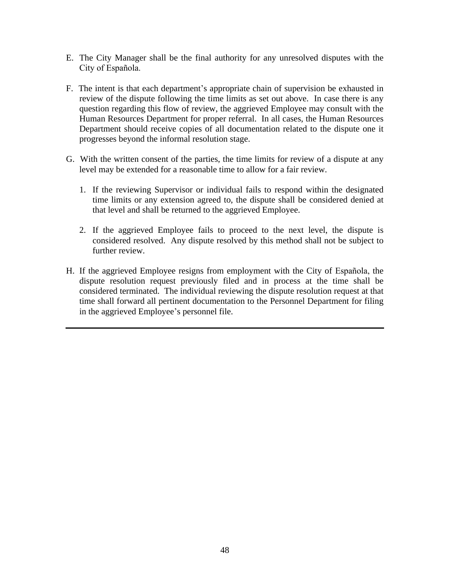- E. The City Manager shall be the final authority for any unresolved disputes with the City of Española.
- F. The intent is that each department's appropriate chain of supervision be exhausted in review of the dispute following the time limits as set out above. In case there is any question regarding this flow of review, the aggrieved Employee may consult with the Human Resources Department for proper referral. In all cases, the Human Resources Department should receive copies of all documentation related to the dispute one it progresses beyond the informal resolution stage.
- G. With the written consent of the parties, the time limits for review of a dispute at any level may be extended for a reasonable time to allow for a fair review.
	- 1. If the reviewing Supervisor or individual fails to respond within the designated time limits or any extension agreed to, the dispute shall be considered denied at that level and shall be returned to the aggrieved Employee.
	- 2. If the aggrieved Employee fails to proceed to the next level, the dispute is considered resolved. Any dispute resolved by this method shall not be subject to further review.
- H. If the aggrieved Employee resigns from employment with the City of Española, the dispute resolution request previously filed and in process at the time shall be considered terminated. The individual reviewing the dispute resolution request at that time shall forward all pertinent documentation to the Personnel Department for filing in the aggrieved Employee's personnel file.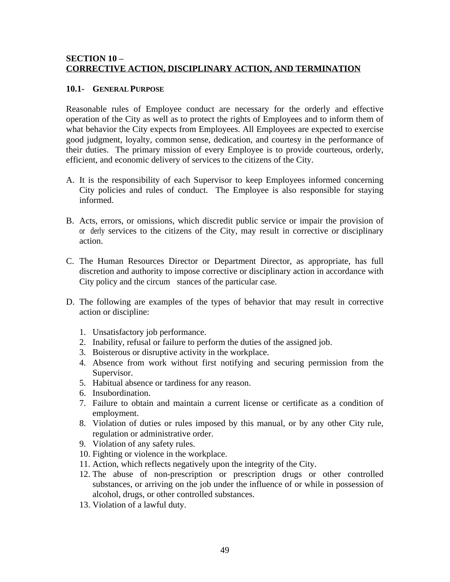# <span id="page-54-0"></span>**SECTION 10 – CORRECTIVE ACTION, DISCIPLINARY ACTION, AND TERMINATION**

#### **10.1- GENERAL PURPOSE**

Reasonable rules of Employee conduct are necessary for the orderly and effective operation of the City as well as to protect the rights of Employees and to inform them of what behavior the City expects from Employees. All Employees are expected to exercise good judgment, loyalty, common sense, dedication, and courtesy in the performance of their duties. The primary mission of every Employee is to provide courteous, orderly, efficient, and economic delivery of services to the citizens of the City.

- A. It is the responsibility of each Supervisor to keep Employees informed concerning City policies and rules of conduct. The Employee is also responsible for staying informed.
- B. Acts, errors, or omissions, which discredit public service or impair the provision of or derly services to the citizens of the City, may result in corrective or disciplinary action.
- C. The Human Resources Director or Department Director, as appropriate, has full discretion and authority to impose corrective or disciplinary action in accordance with City policy and the circum stances of the particular case.
- D. The following are examples of the types of behavior that may result in corrective action or discipline:
	- 1. Unsatisfactory job performance.
	- 2. Inability, refusal or failure to perform the duties of the assigned job.
	- 3. Boisterous or disruptive activity in the workplace.
	- 4. Absence from work without first notifying and securing permission from the Supervisor.
	- 5. Habitual absence or tardiness for any reason.
	- 6. Insubordination.
	- 7. Failure to obtain and maintain a current license or certificate as a condition of employment.
	- 8. Violation of duties or rules imposed by this manual, or by any other City rule, regulation or administrative order.
	- 9. Violation of any safety rules.
	- 10. Fighting or violence in the workplace.
	- 11. Action, which reflects negatively upon the integrity of the City.
	- 12. The abuse of non-prescription or prescription drugs or other controlled substances, or arriving on the job under the influence of or while in possession of alcohol, drugs, or other controlled substances.
	- 13. Violation of a lawful duty.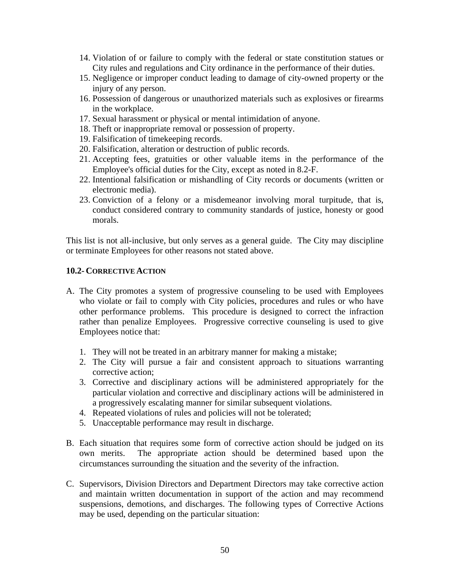- 14. Violation of or failure to comply with the federal or state constitution statues or City rules and regulations and City ordinance in the performance of their duties.
- 15. Negligence or improper conduct leading to damage of city-owned property or the injury of any person.
- 16. Possession of dangerous or unauthorized materials such as explosives or firearms in the workplace.
- 17. Sexual harassment or physical or mental intimidation of anyone.
- 18. Theft or inappropriate removal or possession of property.
- 19. Falsification of timekeeping records.
- 20. Falsification, alteration or destruction of public records.
- 21. Accepting fees, gratuities or other valuable items in the performance of the Employee's official duties for the City, except as noted in 8.2-F.
- 22. Intentional falsification or mishandling of City records or documents (written or electronic media).
- 23. Conviction of a felony or a misdemeanor involving moral turpitude, that is, conduct considered contrary to community standards of justice, honesty or good morals.

This list is not all-inclusive, but only serves as a general guide. The City may discipline or terminate Employees for other reasons not stated above.

#### **10.2- CORRECTIVE ACTION**

- A. The City promotes a system of progressive counseling to be used with Employees who violate or fail to comply with City policies, procedures and rules or who have other performance problems. This procedure is designed to correct the infraction rather than penalize Employees. Progressive corrective counseling is used to give Employees notice that:
	- 1. They will not be treated in an arbitrary manner for making a mistake;
	- 2. The City will pursue a fair and consistent approach to situations warranting corrective action;
	- 3. Corrective and disciplinary actions will be administered appropriately for the particular violation and corrective and disciplinary actions will be administered in a progressively escalating manner for similar subsequent violations.
	- 4. Repeated violations of rules and policies will not be tolerated;
	- 5. Unacceptable performance may result in discharge.
- B. Each situation that requires some form of corrective action should be judged on its own merits. The appropriate action should be determined based upon the circumstances surrounding the situation and the severity of the infraction.
- C. Supervisors, Division Directors and Department Directors may take corrective action and maintain written documentation in support of the action and may recommend suspensions, demotions, and discharges. The following types of Corrective Actions may be used, depending on the particular situation: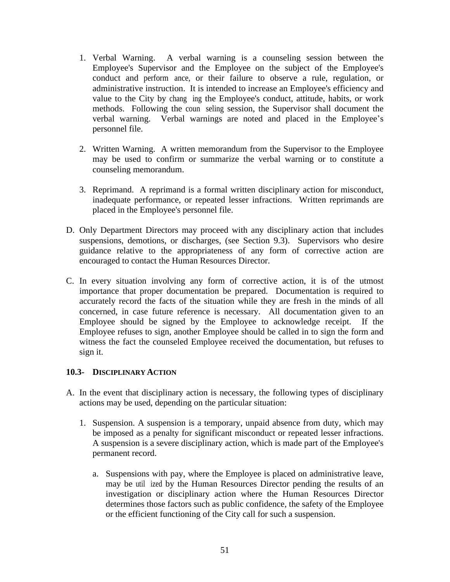- 1. Verbal Warning. A verbal warning is a counseling session between the Employee's Supervisor and the Employee on the subject of the Employee's conduct and perform ance, or their failure to observe a rule, regulation, or administrative instruction. It is intended to increase an Employee's efficiency and value to the City by changing the Employee's conduct, attitude, habits, or work methods. Following the counseling session, the Supervisor shall document the verbal warning. Verbal warnings are noted and placed in the Employee's personnel file.
- 2. Written Warning. A written memorandum from the Supervisor to the Employee may be used to confirm or summarize the verbal warning or to constitute a counseling memorandum.
- 3. Reprimand. A reprimand is a formal written disciplinary action for misconduct, inadequate performance, or repeated lesser infractions. Written reprimands are placed in the Employee's personnel file.
- D. Only Department Directors may proceed with any disciplinary action that includes suspensions, demotions, or discharges, (see Section 9.3). Supervisors who desire guidance relative to the appropriateness of any form of corrective action are encouraged to contact the Human Resources Director.
- C. In every situation involving any form of corrective action, it is of the utmost importance that proper documentation be prepared. Documentation is required to accurately record the facts of the situation while they are fresh in the minds of all concerned, in case future reference is necessary. All documentation given to an Employee should be signed by the Employee to acknowledge receipt. If the Employee refuses to sign, another Employee should be called in to sign the form and witness the fact the counseled Employee received the documentation, but refuses to sign it.

# **10.3- DISCIPLINARY ACTION**

- A. In the event that disciplinary action is necessary, the following types of disciplinary actions may be used, depending on the particular situation:
	- 1. Suspension. A suspension is a temporary, unpaid absence from duty, which may be imposed as a penalty for significant misconduct or repeated lesser infractions. A suspension is a severe disciplinary action, which is made part of the Employee's permanent record.
		- a. Suspensions with pay, where the Employee is placed on administrative leave, may be util ized by the Human Resources Director pending the results of an investigation or disciplinary action where the Human Resources Director determines those factors such as public confidence, the safety of the Employee or the efficient functioning of the City call for such a suspension.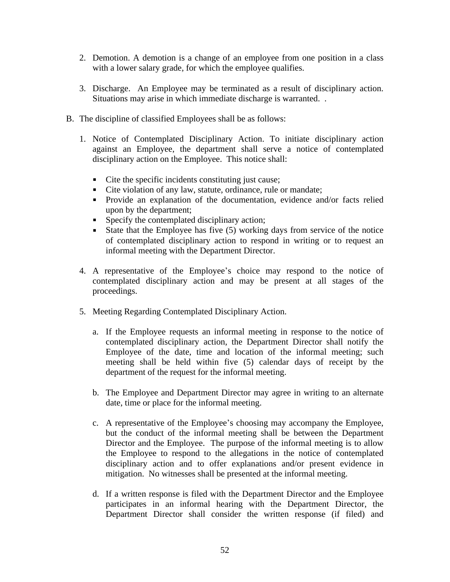- 2. Demotion. A demotion is a change of an employee from one position in a class with a lower salary grade, for which the employee qualifies.
- 3. Discharge. An Employee may be terminated as a result of disciplinary action. Situations may arise in which immediate discharge is warranted. .
- B. The discipline of classified Employees shall be as follows:
	- 1. Notice of Contemplated Disciplinary Action. To initiate disciplinary action against an Employee, the department shall serve a notice of contemplated disciplinary action on the Employee. This notice shall:
		- Cite the specific incidents constituting just cause;
		- Cite violation of any law, statute, ordinance, rule or mandate;
		- Provide an explanation of the documentation, evidence and/or facts relied upon by the department;
		- Specify the contemplated disciplinary action;
		- State that the Employee has five  $(5)$  working days from service of the notice of contemplated disciplinary action to respond in writing or to request an informal meeting with the Department Director.
	- 4. A representative of the Employee's choice may respond to the notice of contemplated disciplinary action and may be present at all stages of the proceedings.
	- 5. Meeting Regarding Contemplated Disciplinary Action.
		- a. If the Employee requests an informal meeting in response to the notice of contemplated disciplinary action, the Department Director shall notify the Employee of the date, time and location of the informal meeting; such meeting shall be held within five (5) calendar days of receipt by the department of the request for the informal meeting.
		- b. The Employee and Department Director may agree in writing to an alternate date, time or place for the informal meeting.
		- c. A representative of the Employee's choosing may accompany the Employee, but the conduct of the informal meeting shall be between the Department Director and the Employee. The purpose of the informal meeting is to allow the Employee to respond to the allegations in the notice of contemplated disciplinary action and to offer explanations and/or present evidence in mitigation. No witnesses shall be presented at the informal meeting.
		- d. If a written response is filed with the Department Director and the Employee participates in an informal hearing with the Department Director, the Department Director shall consider the written response (if filed) and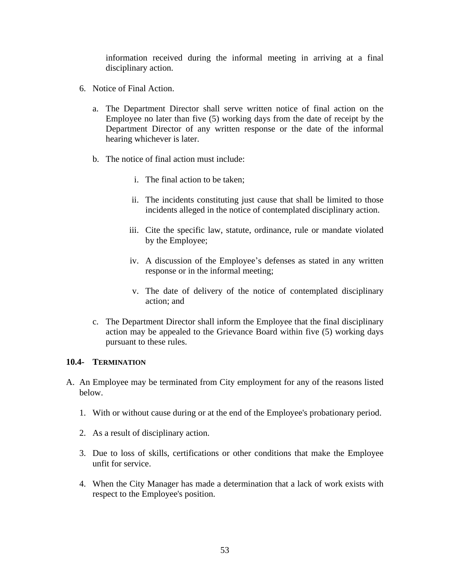information received during the informal meeting in arriving at a final disciplinary action.

- 6. Notice of Final Action.
	- a. The Department Director shall serve written notice of final action on the Employee no later than five (5) working days from the date of receipt by the Department Director of any written response or the date of the informal hearing whichever is later.
	- b. The notice of final action must include:
		- i. The final action to be taken;
		- ii. The incidents constituting just cause that shall be limited to those incidents alleged in the notice of contemplated disciplinary action.
		- iii. Cite the specific law, statute, ordinance, rule or mandate violated by the Employee;
		- iv. A discussion of the Employee's defenses as stated in any written response or in the informal meeting;
		- v. The date of delivery of the notice of contemplated disciplinary action; and
	- c. The Department Director shall inform the Employee that the final disciplinary action may be appealed to the Grievance Board within five (5) working days pursuant to these rules.

#### **10.4- TERMINATION**

- A. An Employee may be terminated from City employment for any of the reasons listed below.
	- 1. With or without cause during or at the end of the Employee's probationary period.
	- 2. As a result of disciplinary action.
	- 3. Due to loss of skills, certifications or other conditions that make the Employee unfit for service.
	- 4. When the City Manager has made a determination that a lack of work exists with respect to the Employee's position.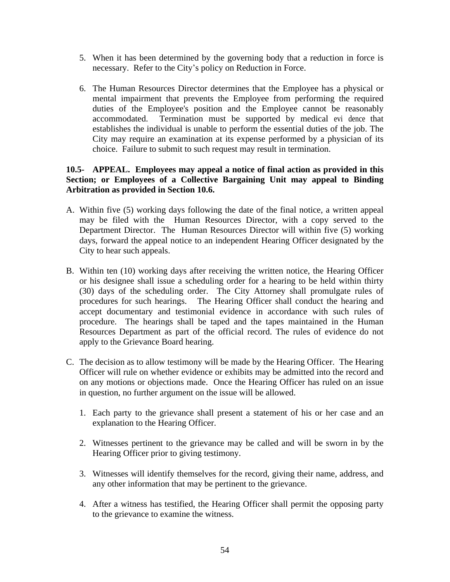- 5. When it has been determined by the governing body that a reduction in force is necessary. Refer to the City's policy on Reduction in Force.
- 6. The Human Resources Director determines that the Employee has a physical or mental impairment that prevents the Employee from performing the required duties of the Employee's position and the Employee cannot be reasonably accommodated. Termination must be supported by medical evidence that establishes the individual is unable to perform the essential duties of the job. The City may require an examination at its expense performed by a physician of its choice. Failure to submit to such request may result in termination.

# **10.5- APPEAL. Employees may appeal a notice of final action as provided in this Section; or Employees of a Collective Bargaining Unit may appeal to Binding Arbitration as provided in Section 10.6.**

- A. Within five (5) working days following the date of the final notice, a written appeal may be filed with the Human Resources Director, with a copy served to the Department Director. The Human Resources Director will within five (5) working days, forward the appeal notice to an independent Hearing Officer designated by the City to hear such appeals.
- B. Within ten (10) working days after receiving the written notice, the Hearing Officer or his designee shall issue a scheduling order for a hearing to be held within thirty (30) days of the scheduling order. The City Attorney shall promulgate rules of procedures for such hearings. The Hearing Officer shall conduct the hearing and accept documentary and testimonial evidence in accordance with such rules of procedure. The hearings shall be taped and the tapes maintained in the Human Resources Department as part of the official record. The rules of evidence do not apply to the Grievance Board hearing.
- C. The decision as to allow testimony will be made by the Hearing Officer. The Hearing Officer will rule on whether evidence or exhibits may be admitted into the record and on any motions or objections made. Once the Hearing Officer has ruled on an issue in question, no further argument on the issue will be allowed.
	- 1. Each party to the grievance shall present a statement of his or her case and an explanation to the Hearing Officer.
	- 2. Witnesses pertinent to the grievance may be called and will be sworn in by the Hearing Officer prior to giving testimony.
	- 3. Witnesses will identify themselves for the record, giving their name, address, and any other information that may be pertinent to the grievance.
	- 4. After a witness has testified, the Hearing Officer shall permit the opposing party to the grievance to examine the witness.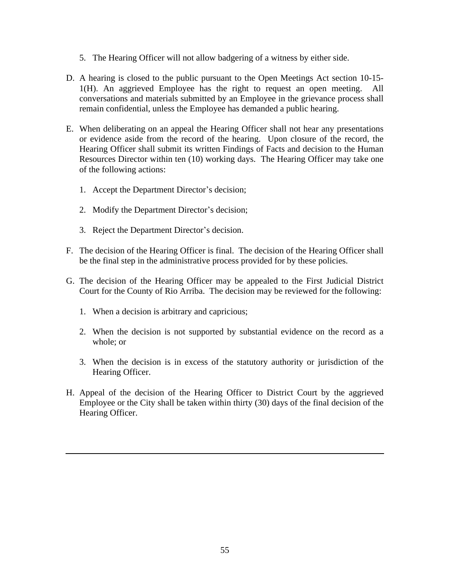- 5. The Hearing Officer will not allow badgering of a witness by either side.
- D. A hearing is closed to the public pursuant to the Open Meetings Act section 10-15- 1(H). An aggrieved Employee has the right to request an open meeting. All conversations and materials submitted by an Employee in the grievance process shall remain confidential, unless the Employee has demanded a public hearing.
- E. When deliberating on an appeal the Hearing Officer shall not hear any presentations or evidence aside from the record of the hearing. Upon closure of the record, the Hearing Officer shall submit its written Findings of Facts and decision to the Human Resources Director within ten (10) working days. The Hearing Officer may take one of the following actions:
	- 1. Accept the Department Director's decision;
	- 2. Modify the Department Director's decision;
	- 3. Reject the Department Director's decision.
- F. The decision of the Hearing Officer is final. The decision of the Hearing Officer shall be the final step in the administrative process provided for by these policies.
- G. The decision of the Hearing Officer may be appealed to the First Judicial District Court for the County of Rio Arriba. The decision may be reviewed for the following:
	- 1. When a decision is arbitrary and capricious;
	- 2. When the decision is not supported by substantial evidence on the record as a whole; or
	- 3. When the decision is in excess of the statutory authority or jurisdiction of the Hearing Officer.
- H. Appeal of the decision of the Hearing Officer to District Court by the aggrieved Employee or the City shall be taken within thirty (30) days of the final decision of the Hearing Officer.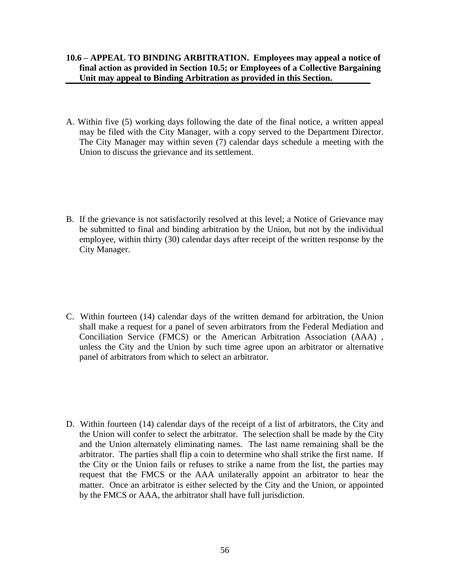- **10.6 – APPEAL TO BINDING ARBITRATION. Employees may appeal a notice of final action as provided in Section 10.5; or Employees of a Collective Bargaining Unit may appeal to Binding Arbitration as provided in this Section.**
- A. Within five (5) working days following the date of the final notice, a written appeal may be filed with the City Manager, with a copy served to the Department Director. The City Manager may within seven (7) calendar days schedule a meeting with the Union to discuss the grievance and its settlement.
- B. If the grievance is not satisfactorily resolved at this level; a Notice of Grievance may be submitted to final and binding arbitration by the Union, but not by the individual employee, within thirty (30) calendar days after receipt of the written response by the City Manager.
- C. Within fourteen (14) calendar days of the written demand for arbitration, the Union shall make a request for a panel of seven arbitrators from the Federal Mediation and Conciliation Service (FMCS) or the American Arbitration Association (AAA) , unless the City and the Union by such time agree upon an arbitrator or alternative panel of arbitrators from which to select an arbitrator.
- D. Within fourteen (14) calendar days of the receipt of a list of arbitrators, the City and the Union will confer to select the arbitrator. The selection shall be made by the City and the Union alternately eliminating names. The last name remaining shall be the arbitrator. The parties shall flip a coin to determine who shall strike the first name. If the City or the Union fails or refuses to strike a name from the list, the parties may request that the FMCS or the AAA unilaterally appoint an arbitrator to hear the matter. Once an arbitrator is either selected by the City and the Union, or appointed by the FMCS or AAA, the arbitrator shall have full jurisdiction.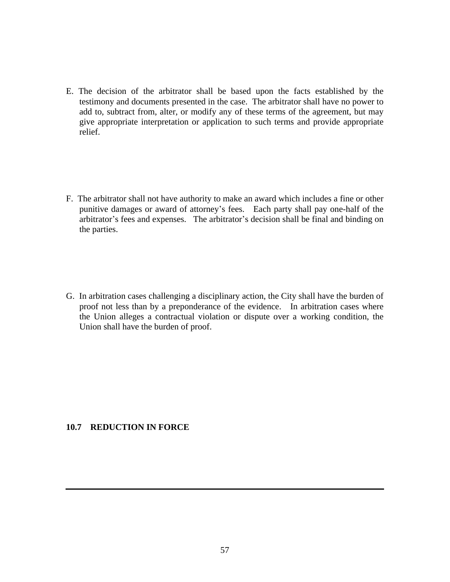- E. The decision of the arbitrator shall be based upon the facts established by the testimony and documents presented in the case. The arbitrator shall have no power to add to, subtract from, alter, or modify any of these terms of the agreement, but may give appropriate interpretation or application to such terms and provide appropriate relief.
- F. The arbitrator shall not have authority to make an award which includes a fine or other punitive damages or award of attorney's fees. Each party shall pay one-half of the arbitrator's fees and expenses. The arbitrator's decision shall be final and binding on the parties.
- G. In arbitration cases challenging a disciplinary action, the City shall have the burden of proof not less than by a preponderance of the evidence. In arbitration cases where the Union alleges a contractual violation or dispute over a working condition, the Union shall have the burden of proof.

#### **10.7 REDUCTION IN FORCE**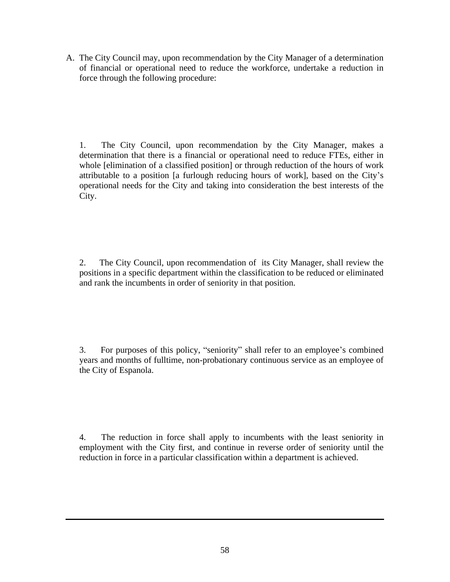A. The City Council may, upon recommendation by the City Manager of a determination of financial or operational need to reduce the workforce, undertake a reduction in force through the following procedure:

1. The City Council, upon recommendation by the City Manager, makes a determination that there is a financial or operational need to reduce FTEs, either in whole [elimination of a classified position] or through reduction of the hours of work attributable to a position [a furlough reducing hours of work], based on the City's operational needs for the City and taking into consideration the best interests of the City.

2. The City Council, upon recommendation of its City Manager, shall review the positions in a specific department within the classification to be reduced or eliminated and rank the incumbents in order of seniority in that position.

3. For purposes of this policy, "seniority" shall refer to an employee's combined years and months of fulltime, non-probationary continuous service as an employee of the City of Espanola.

4. The reduction in force shall apply to incumbents with the least seniority in employment with the City first, and continue in reverse order of seniority until the reduction in force in a particular classification within a department is achieved.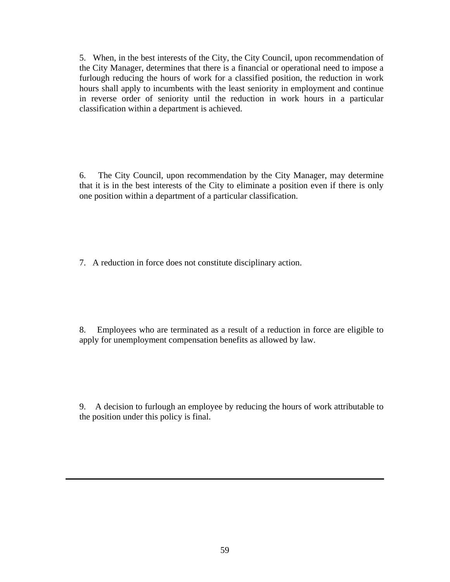5. When, in the best interests of the City, the City Council, upon recommendation of the City Manager, determines that there is a financial or operational need to impose a furlough reducing the hours of work for a classified position, the reduction in work hours shall apply to incumbents with the least seniority in employment and continue in reverse order of seniority until the reduction in work hours in a particular classification within a department is achieved.

6. The City Council, upon recommendation by the City Manager, may determine that it is in the best interests of the City to eliminate a position even if there is only one position within a department of a particular classification.

7. A reduction in force does not constitute disciplinary action.

8. Employees who are terminated as a result of a reduction in force are eligible to apply for unemployment compensation benefits as allowed by law.

9. A decision to furlough an employee by reducing the hours of work attributable to the position under this policy is final.